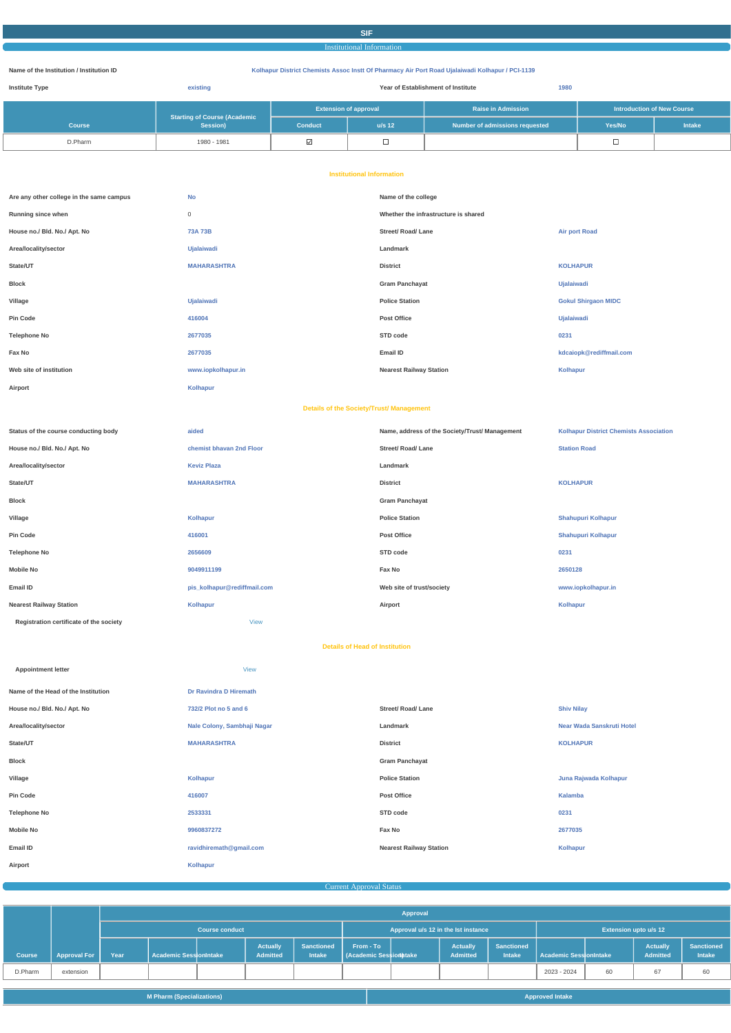## **SIF**

Institutional Information

#### **Name of the Institution / Institution ID Kolhapur District Chemists Assoc Instt Of Pharmacy Air Port Road Ujalaiwadi Kolhapur / PCI-1139**

| <b>Institute Type</b> | existing                                        | Year of Establishment of Institute<br>1980 |          |                                |                                   |        |
|-----------------------|-------------------------------------------------|--------------------------------------------|----------|--------------------------------|-----------------------------------|--------|
|                       |                                                 | <b>Extension of approval</b>               |          | <b>Raise in Admission</b>      | <b>Introduction of New Course</b> |        |
| <b>Course</b>         | <b>Starting of Course (Academic</b><br>Session) | <b>Conduct</b>                             | $u/s$ 12 | Number of admissions requested | Yes/No                            | Intake |
| D.Pharm               | 1980 - 1981                                     | ⊻                                          |          |                                |                                   |        |

#### **Institutional Information**

| Are any other college in the same campus | <b>No</b>          | Name of the college                               |                            |  |
|------------------------------------------|--------------------|---------------------------------------------------|----------------------------|--|
| Running since when                       | 0                  | Whether the infrastructure is shared              |                            |  |
| House no./ Bld. No./ Apt. No             | <b>73A 73B</b>     | <b>Street/ Road/ Lane</b><br><b>Air port Road</b> |                            |  |
| Area/locality/sector                     | <b>Ujalaiwadi</b>  | Landmark                                          |                            |  |
| State/UT                                 | <b>MAHARASHTRA</b> | <b>District</b>                                   | <b>KOLHAPUR</b>            |  |
| <b>Block</b>                             |                    | <b>Gram Panchayat</b>                             | Ujalaiwadi                 |  |
| Village                                  | <b>Ujalaiwadi</b>  | <b>Police Station</b>                             | <b>Gokul Shirgaon MIDC</b> |  |
| Pin Code                                 | 416004             | Post Office                                       | Ujalaiwadi                 |  |
| <b>Telephone No</b>                      | 2677035            | STD code                                          | 0231                       |  |
| Fax No                                   | 2677035            | Email ID                                          | kdcaiopk@rediffmail.com    |  |
| Web site of institution                  | www.iopkolhapur.in | <b>Nearest Railway Station</b>                    | <b>Kolhapur</b>            |  |
| Airport                                  | Kolhapur           |                                                   |                            |  |

#### **Details of the Society/Trust/ Management**

| Status of the course conducting body    | aided                       | Name, address of the Society/Trust/ Management | <b>Kolhapur District Chemists Association</b> |
|-----------------------------------------|-----------------------------|------------------------------------------------|-----------------------------------------------|
| House no./ Bld. No./ Apt. No            | chemist bhavan 2nd Floor    | <b>Street/ Road/ Lane</b>                      | <b>Station Road</b>                           |
| Area/locality/sector                    | <b>Keviz Plaza</b>          | Landmark                                       |                                               |
| State/UT                                | <b>MAHARASHTRA</b>          | <b>District</b>                                | <b>KOLHAPUR</b>                               |
| Block                                   |                             | <b>Gram Panchayat</b>                          |                                               |
| Village                                 | Kolhapur                    | <b>Police Station</b>                          | <b>Shahupuri Kolhapur</b>                     |
| Pin Code                                | 416001                      | <b>Post Office</b>                             | <b>Shahupuri Kolhapur</b>                     |
| <b>Telephone No</b>                     | 2656609                     | STD code                                       | 0231                                          |
| Mobile No                               | 9049911199                  | Fax No                                         | 2650128                                       |
| Email ID                                | pis_kolhapur@rediffmail.com | Web site of trust/society                      | www.iopkolhapur.in                            |
| <b>Nearest Railway Station</b>          | Kolhapur                    | Airport                                        | Kolhapur                                      |
| Registration certificate of the society | View                        |                                                |                                               |
|                                         |                             |                                                |                                               |

#### **Details of Head of Institution**

| <b>Appointment letter</b>           | <b>View</b>                 |                                |                           |
|-------------------------------------|-----------------------------|--------------------------------|---------------------------|
| Name of the Head of the Institution | Dr Ravindra D Hiremath      |                                |                           |
| House no./ Bld. No./ Apt. No        | 732/2 Plot no 5 and 6       | <b>Street/ Road/ Lane</b>      | <b>Shiv Nilay</b>         |
| Area/locality/sector                | Nale Colony, Sambhaji Nagar | Landmark                       | Near Wada Sanskruti Hotel |
| State/UT                            | <b>MAHARASHTRA</b>          | <b>District</b>                | <b>KOLHAPUR</b>           |
| <b>Block</b>                        |                             | <b>Gram Panchayat</b>          |                           |
| Village                             | Kolhapur                    | <b>Police Station</b>          | Juna Rajwada Kolhapur     |
| <b>Pin Code</b>                     | 416007                      | <b>Post Office</b>             | Kalamba                   |
| <b>Telephone No</b>                 | 2533331                     | STD code                       | 0231                      |
| <b>Mobile No</b>                    | 9960837272                  | Fax No                         | 2677035                   |
| Email ID                            | ravidhiremath@gmail.com     | <b>Nearest Railway Station</b> | Kolhapur                  |
| Airport                             | <b>Kolhapur</b>             |                                |                           |
|                                     |                             |                                |                           |

Current Approval Status and the Current Approval Status and the Current Approval Status and the Current Approval Status and the Current Approval Status and the Current Approval Status and the Current Approval Status and th

|               |                       |                       |                        |  |                                     |                                    |                                           | Approval                     |                             |                                    |                               |    |                                    |                             |
|---------------|-----------------------|-----------------------|------------------------|--|-------------------------------------|------------------------------------|-------------------------------------------|------------------------------|-----------------------------|------------------------------------|-------------------------------|----|------------------------------------|-----------------------------|
|               |                       | <b>Course conduct</b> |                        |  | Approval u/s 12 in the lst instance |                                    |                                           | <b>Extension upto u/s 12</b> |                             |                                    |                               |    |                                    |                             |
| <b>Course</b> | <b>Approval For A</b> | Year                  | Academic SessionIntake |  | <b>Actually</b><br><b>Admitted</b>  | <b>Sanctioned</b><br><b>Intake</b> | From - To<br><b>Academic Session Make</b> |                              | <b>Actually</b><br>Admitted | <b>Sanctioned</b><br><b>Intake</b> | <b>Academic SessionIntake</b> |    | <b>Actually</b><br><b>Admitted</b> | <b>Sanctioned</b><br>Intake |
| D.Pharm       | extension             |                       |                        |  |                                     |                                    |                                           |                              |                             |                                    | 2023 - 2024                   | 60 | 67                                 | 60                          |

| <b>M Pharm (Specializations)</b><br><b>Approved Intake</b> |  |
|------------------------------------------------------------|--|
|------------------------------------------------------------|--|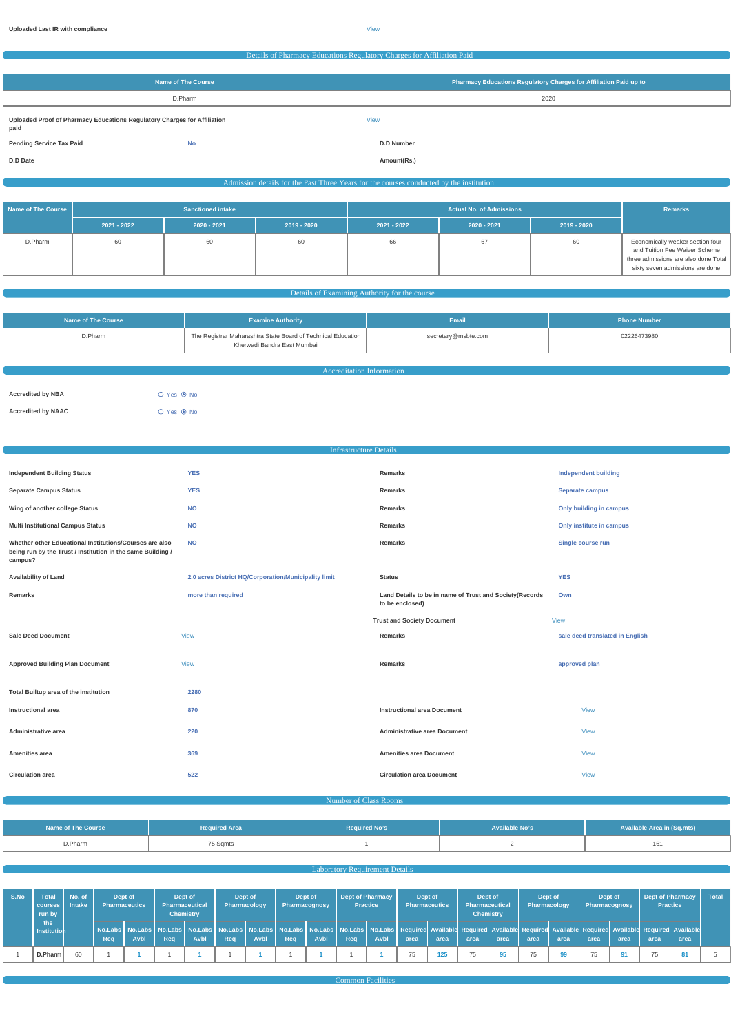#### Details of Pharmacy Educations Regulatory Charges for Affiliation Paid

| Name of The Course                                                               | Pharmacy Educations Regulatory Charges for Affiliation Paid up to |
|----------------------------------------------------------------------------------|-------------------------------------------------------------------|
| D.Pharm                                                                          | 2020                                                              |
| Uploaded Proof of Pharmacy Educations Regulatory Charges for Affiliation<br>paid | <b>View</b>                                                       |
| <b>No</b><br><b>Pending Service Tax Paid</b>                                     | <b>D.D Number</b>                                                 |
| D.D Date                                                                         | Amount(Rs.)                                                       |

## Admission details for the Past Three Years for the courses conducted by the institution

| <b>Name of The Course</b> | <b>Sanctioned intake</b> |               |             | <b>Actual No. of Admissions</b> |             |             | <b>Remarks</b>                                                                                                                               |
|---------------------------|--------------------------|---------------|-------------|---------------------------------|-------------|-------------|----------------------------------------------------------------------------------------------------------------------------------------------|
|                           | $2021 - 2022$            | $2020 - 2021$ | 2019 - 2020 | 2021 - 2022                     | 2020 - 2021 | 2019 - 2020 |                                                                                                                                              |
| D.Pharm                   | 60                       | 60            | 60          | 66                              | 67          | 60          | Economically weaker section four<br>and Tuition Fee Waiver Scheme<br>three admissions are also done Total<br>sixty seven admissions are done |

#### **Details of Examining Authority for the course**

| Name of The Course | <b>Examine Authority</b>                                                                    | <b>Email</b>        | <b>Phone Number</b> |  |  |  |  |
|--------------------|---------------------------------------------------------------------------------------------|---------------------|---------------------|--|--|--|--|
| D.Pharm            | The Registrar Maharashtra State Board of Technical Education<br>Kherwadi Bandra East Mumbai | secretary@msbte.com | 02226473980         |  |  |  |  |
|                    |                                                                                             |                     |                     |  |  |  |  |
|                    | <b>Accreditation Information</b>                                                            |                     |                     |  |  |  |  |

| <b>Accredited by NBA</b>  | $O$ Yes $\odot$ No |
|---------------------------|--------------------|
| <b>Accredited by NAAC</b> | $O$ Yes $\odot$ No |

|                                                                                                                                   | <b>Infrastructure Details</b>                        |                                                                            |                                 |  |
|-----------------------------------------------------------------------------------------------------------------------------------|------------------------------------------------------|----------------------------------------------------------------------------|---------------------------------|--|
|                                                                                                                                   |                                                      |                                                                            |                                 |  |
| <b>Independent Building Status</b>                                                                                                | <b>YES</b>                                           | Remarks                                                                    | <b>Independent building</b>     |  |
| <b>Separate Campus Status</b>                                                                                                     | <b>YES</b>                                           | Remarks                                                                    | Separate campus                 |  |
| Wing of another college Status                                                                                                    | <b>NO</b>                                            | Remarks                                                                    | Only building in campus         |  |
| <b>Multi Institutional Campus Status</b>                                                                                          | <b>NO</b>                                            | Remarks                                                                    | Only institute in campus        |  |
| Whether other Educational Institutions/Courses are also<br>being run by the Trust / Institution in the same Building /<br>campus? | <b>NO</b>                                            | Remarks                                                                    | Single course run               |  |
| <b>Availability of Land</b>                                                                                                       | 2.0 acres District HQ/Corporation/Municipality limit | <b>Status</b>                                                              | <b>YES</b>                      |  |
| Remarks                                                                                                                           | more than required                                   | Land Details to be in name of Trust and Society(Records<br>to be enclosed) | Own                             |  |
|                                                                                                                                   |                                                      | <b>Trust and Society Document</b>                                          | <b>View</b>                     |  |
| <b>Sale Deed Document</b>                                                                                                         | <b>View</b>                                          | Remarks                                                                    | sale deed translated in English |  |
| <b>Approved Building Plan Document</b>                                                                                            | <b>View</b>                                          | Remarks                                                                    | approved plan                   |  |
| Total Builtup area of the institution                                                                                             | 2280                                                 |                                                                            |                                 |  |
|                                                                                                                                   |                                                      |                                                                            |                                 |  |
| <b>Instructional area</b>                                                                                                         | 870                                                  | <b>Instructional area Document</b>                                         | <b>View</b>                     |  |
| Administrative area                                                                                                               | 220                                                  | <b>Administrative area Document</b>                                        | <b>View</b>                     |  |
| Amenities area                                                                                                                    | 369                                                  | <b>Amenities area Document</b>                                             | <b>View</b>                     |  |

**Circulation area 522 Circulation area Document** [View](https://dgpm.nic.in/institute/getmongoPdfFile.do?renreceiptid=c181a735-d430-4696-8b24-6623ea3dc014&tablename=circulationarea)

|  |  | Number of Class Rooms |
|--|--|-----------------------|
|  |  |                       |

| Name of The Course | <b>Required Area</b> | <b>Required No's</b> | <b>Available No's</b> | <b>Available Area in (Sq.mts)</b> |  |
|--------------------|----------------------|----------------------|-----------------------|-----------------------------------|--|
| D.Pharm            | 75 Sqmts             |                      |                       |                                   |  |

## **Laboratory Requirement Details Contract Contract Contract Contract Contract Contract Contract Contract Contract Contract Contract Contract Contract Contract Contract Contract Contract Contract Contract Contract Contract**

| S.No | <b>Total</b><br>  courses  <br>run by | No. of<br><b>Intake</b> |     | Dept of<br><b>Pharmaceutics</b> | Dept of<br>Pharmaceutical | <b>Chemistry</b> | Dept of<br>Pharmacology |      | Dept of<br>Pharmacognosy |      | <b>Dept of Pharmacy</b><br><b>Practice</b> |      | Dept of<br><b>Pharmaceutics</b>                                                                                                                                                                                                        |      | Dept of<br><b>Pharmaceutical</b><br><b>Chemistry</b> |      | Dept of<br>Pharmacology |      | Dept of<br><b>Pharmacognosy</b> |      | <b>Practice</b> | Dept of Pharmacy | <b>Total</b> |
|------|---------------------------------------|-------------------------|-----|---------------------------------|---------------------------|------------------|-------------------------|------|--------------------------|------|--------------------------------------------|------|----------------------------------------------------------------------------------------------------------------------------------------------------------------------------------------------------------------------------------------|------|------------------------------------------------------|------|-------------------------|------|---------------------------------|------|-----------------|------------------|--------------|
|      | the<br>Institution                    |                         | Reg | Avbl                            | Reg                       | <b>Avbl</b>      | Reg                     | Avbl | Req                      | Avbl | Rea                                        | Avbl | No.Labs   No.Labs   No.Labs   No.Labs   No.Labs   No.Labs   No.Labs   No.Labs   No.Labs   No.Labs   No.Labs   Required Available Required Available Required Available Required Available Required Available Required Availabl<br>area | area | area                                                 | area | area                    | area | area                            | area | area            | area             |              |
|      | D.Pharm                               | 60                      |     |                                 |                           |                  |                         |      |                          |      |                                            |      | 75                                                                                                                                                                                                                                     | 125  | 75                                                   |      | 75                      | 99   |                                 | 91   |                 |                  |              |

**Common Facilities Common Facilities**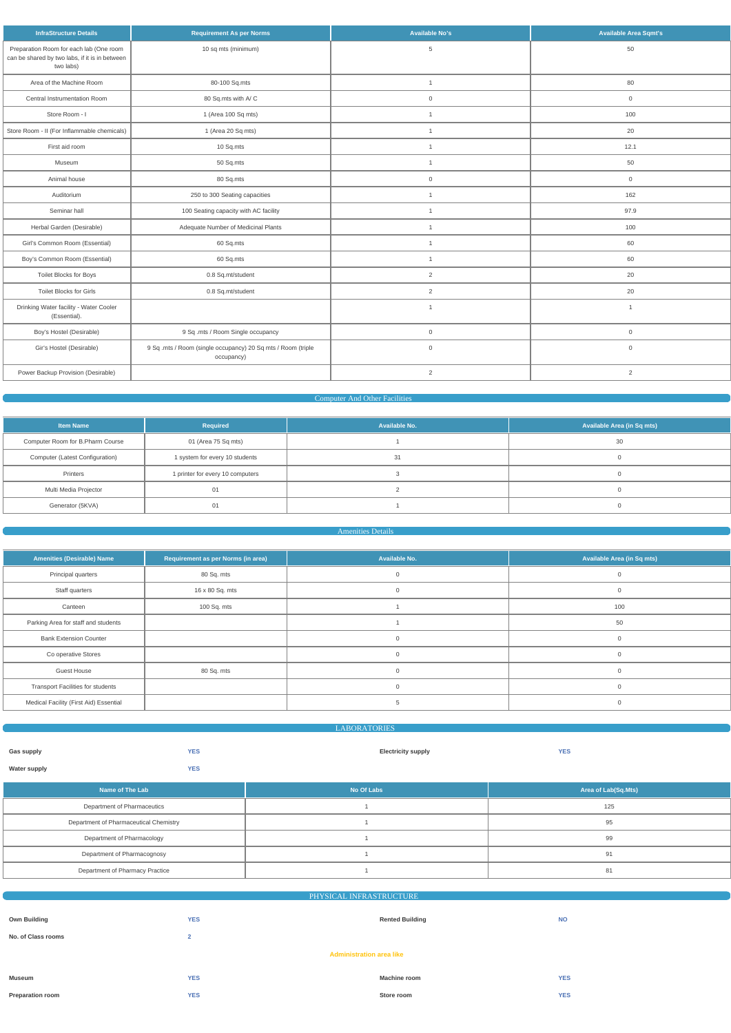| 50<br>Preparation Room for each lab (One room<br>10 sq mts (minimum)<br>5<br>can be shared by two labs, if it is in between<br>two labs)<br>80<br>Area of the Machine Room<br>80-100 Sq.mts<br>$\mathbf{1}$<br>Central Instrumentation Room<br>80 Sq.mts with A/C<br>$\mathbf 0$<br>$\mathbf 0$<br>Store Room - I<br>1 (Area 100 Sq mts)<br>100<br>$\mathbf{1}$<br>Store Room - II (For Inflammable chemicals)<br>1 (Area 20 Sq mts)<br>20<br>$\mathbf{1}$<br>First aid room<br>10 Sq.mts<br>12.1<br>$\mathbf{1}$ | <b>Available Area Sqmt's</b> |  |  |
|-------------------------------------------------------------------------------------------------------------------------------------------------------------------------------------------------------------------------------------------------------------------------------------------------------------------------------------------------------------------------------------------------------------------------------------------------------------------------------------------------------------------|------------------------------|--|--|
|                                                                                                                                                                                                                                                                                                                                                                                                                                                                                                                   |                              |  |  |
|                                                                                                                                                                                                                                                                                                                                                                                                                                                                                                                   |                              |  |  |
|                                                                                                                                                                                                                                                                                                                                                                                                                                                                                                                   |                              |  |  |
|                                                                                                                                                                                                                                                                                                                                                                                                                                                                                                                   |                              |  |  |
|                                                                                                                                                                                                                                                                                                                                                                                                                                                                                                                   |                              |  |  |
|                                                                                                                                                                                                                                                                                                                                                                                                                                                                                                                   |                              |  |  |
| 50<br>50 Sq.mts<br>Museum<br>$\mathbf{1}$                                                                                                                                                                                                                                                                                                                                                                                                                                                                         |                              |  |  |
| Animal house<br>80 Sq.mts<br>$\mathbf 0$<br>$\mathbf 0$                                                                                                                                                                                                                                                                                                                                                                                                                                                           |                              |  |  |
| Auditorium<br>250 to 300 Seating capacities<br>162<br>$\mathbf{1}$                                                                                                                                                                                                                                                                                                                                                                                                                                                |                              |  |  |
| Seminar hall<br>100 Seating capacity with AC facility<br>97.9<br>$\mathbf{1}$                                                                                                                                                                                                                                                                                                                                                                                                                                     |                              |  |  |
| Herbal Garden (Desirable)<br>Adequate Number of Medicinal Plants<br>100<br>$\mathbf{1}$                                                                                                                                                                                                                                                                                                                                                                                                                           |                              |  |  |
| Girl's Common Room (Essential)<br>60<br>60 Sq.mts<br>$\overline{1}$                                                                                                                                                                                                                                                                                                                                                                                                                                               |                              |  |  |
| Boy's Common Room (Essential)<br>60<br>60 Sq.mts<br>$\mathbf{1}$                                                                                                                                                                                                                                                                                                                                                                                                                                                  |                              |  |  |
| <b>Toilet Blocks for Boys</b><br>0.8 Sq.mt/student<br>$\overline{2}$<br>20                                                                                                                                                                                                                                                                                                                                                                                                                                        |                              |  |  |
| <b>Toilet Blocks for Girls</b><br>$\overline{2}$<br>20<br>0.8 Sq.mt/student                                                                                                                                                                                                                                                                                                                                                                                                                                       |                              |  |  |
| Drinking Water facility - Water Cooler<br>$\mathbf{1}$<br>$\overline{1}$<br>(Essential).                                                                                                                                                                                                                                                                                                                                                                                                                          |                              |  |  |
| Boy's Hostel (Desirable)<br>9 Sq .mts / Room Single occupancy<br>$\mathbf 0$<br>$\mathbf 0$                                                                                                                                                                                                                                                                                                                                                                                                                       |                              |  |  |
| Gir's Hostel (Desirable)<br>9 Sq .mts / Room (single occupancy) 20 Sq mts / Room (triple<br>$\mathsf{O}\xspace$<br>$\mathbf 0$<br>occupancy)                                                                                                                                                                                                                                                                                                                                                                      |                              |  |  |
| Power Backup Provision (Desirable)<br>$\overline{2}$<br>$\overline{2}$                                                                                                                                                                                                                                                                                                                                                                                                                                            |                              |  |  |

## Computer And Other Facilities

| <b>Item Name</b>                 | Required                         | Available No. | Available Area (in Sq mts) |  |  |
|----------------------------------|----------------------------------|---------------|----------------------------|--|--|
| Computer Room for B.Pharm Course | 01 (Area 75 Sq mts)              |               | 30                         |  |  |
| Computer (Latest Configuration)  | 1 system for every 10 students   | 31            |                            |  |  |
| Printers                         | 1 printer for every 10 computers |               |                            |  |  |
| Multi Media Projector            | 01                               |               |                            |  |  |
| Generator (5KVA)                 | 01                               |               |                            |  |  |

## Amenities Details

| <b>Amenities (Desirable) Name</b>        | Requirement as per Norms (in area) | Available No. | <b>Available Area (in Sq mts)</b> |
|------------------------------------------|------------------------------------|---------------|-----------------------------------|
| Principal quarters                       | 80 Sq. mts                         |               |                                   |
| Staff quarters                           | 16 x 80 Sq. mts                    |               |                                   |
| Canteen                                  | 100 Sq. mts                        |               | 100                               |
| Parking Area for staff and students      |                                    |               | 50                                |
| <b>Bank Extension Counter</b>            |                                    |               |                                   |
| Co operative Stores                      |                                    |               |                                   |
| <b>Guest House</b>                       | 80 Sq. mts                         |               |                                   |
| <b>Transport Facilities for students</b> |                                    |               | $\cap$                            |
| Medical Facility (First Aid) Essential   |                                    |               |                                   |

LABORATORIES

| Name of The Lab                        | No Of Labs | Area of Lab(Sq.Mts) |  |  |
|----------------------------------------|------------|---------------------|--|--|
| Department of Pharmaceutics            |            | 125                 |  |  |
| Department of Pharmaceutical Chemistry |            | 95                  |  |  |
| Department of Pharmacology             |            | 99                  |  |  |
| Department of Pharmacognosy            |            | 9 <sup>1</sup>      |  |  |
| Department of Pharmacy Practice        |            | 81                  |  |  |

| PHYSICAL INFRASTRUCTURE         |                |                        |            |  |  |  |  |  |  |
|---------------------------------|----------------|------------------------|------------|--|--|--|--|--|--|
|                                 |                |                        |            |  |  |  |  |  |  |
| <b>Own Building</b>             | <b>YES</b>     | <b>Rented Building</b> | <b>NO</b>  |  |  |  |  |  |  |
|                                 |                |                        |            |  |  |  |  |  |  |
| No. of Class rooms              | $\overline{2}$ |                        |            |  |  |  |  |  |  |
| <b>Administration area like</b> |                |                        |            |  |  |  |  |  |  |
|                                 |                |                        |            |  |  |  |  |  |  |
|                                 |                |                        |            |  |  |  |  |  |  |
| Museum                          | <b>YES</b>     | <b>Machine room</b>    | <b>YES</b> |  |  |  |  |  |  |
|                                 |                |                        |            |  |  |  |  |  |  |
| <b>Preparation room</b>         | <b>YES</b>     | Store room             | <b>YES</b> |  |  |  |  |  |  |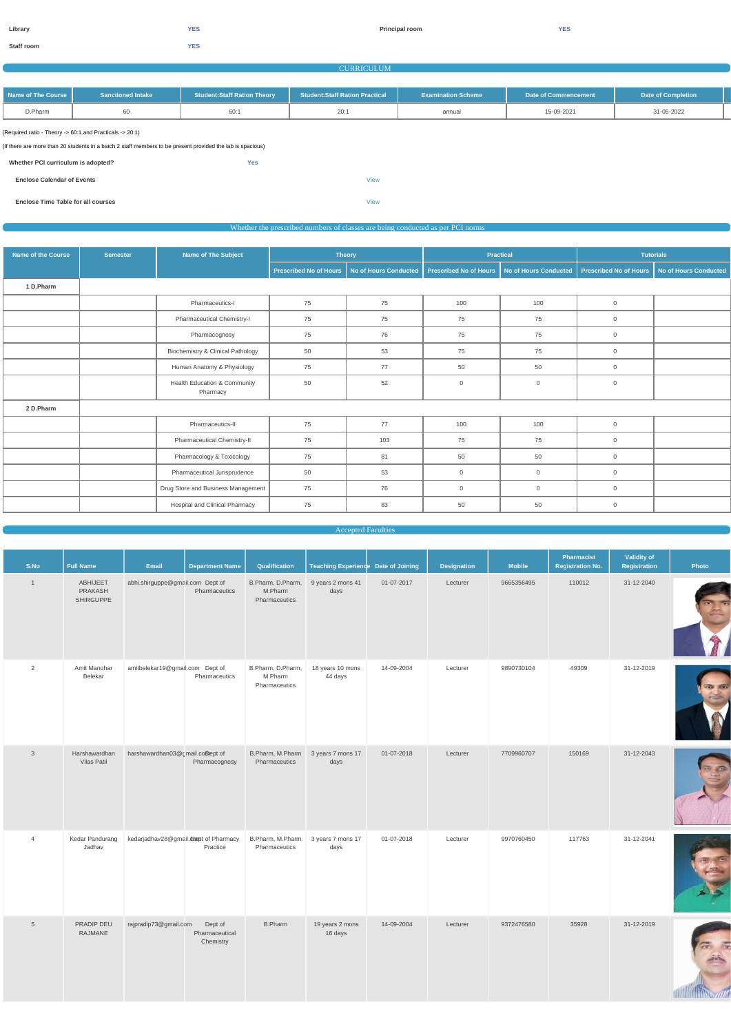$\rightarrow$ 

**Staff room YES**

#### **CURRICULUM**

| Name of The Course | <b>Sanctioned Intake</b> | <b>Student:Staff Ration Theory</b> | <b>Student:Staff Ration Practical</b> | <b>Examination Scheme</b> | Date of Commencement | Date of Completion |  |
|--------------------|--------------------------|------------------------------------|---------------------------------------|---------------------------|----------------------|--------------------|--|
| D.Pharm            |                          | 60:                                | 20:                                   | annual                    | 15-09-2021           | 31-05-2022         |  |

(Required ratio - Theory -> 60:1 and Practicals -> 20:1)

(If there are more than 20 students in a batch 2 staff members to be present provided the lab is spacious)

| Whether PCI curriculum is adopted? | <b>Yes</b> |             |
|------------------------------------|------------|-------------|
| <b>Enclose Calendar of Events</b>  |            | <b>View</b> |

**Enclose Time Table for all courses** [View](https://dgpm.nic.in/institute/getmongoPdfFile.do?renreceiptid=6d2eae96-dd56-4beb-a339-9356e4db9f2e&tablename=timetable)

#### Whether the prescribed numbers of classes are being conducted as per PCI norms

| <b>Name of the Course</b> | <b>Semester</b> | Name of The Subject                                 |                        | <b>Theory</b>         | <b>Practical</b>              |                              | <b>Tutorials</b>              |                              |  |
|---------------------------|-----------------|-----------------------------------------------------|------------------------|-----------------------|-------------------------------|------------------------------|-------------------------------|------------------------------|--|
|                           |                 |                                                     | Prescribed No of Hours | No of Hours Conducted | <b>Prescribed No of Hours</b> | <b>No of Hours Conducted</b> | <b>Prescribed No of Hours</b> | <b>No of Hours Conducted</b> |  |
| 1 D.Pharm                 |                 |                                                     |                        |                       |                               |                              |                               |                              |  |
|                           |                 | Pharmaceutics-I                                     | 75                     | 75                    | 100                           | 100                          | $\overline{0}$                |                              |  |
|                           |                 | Pharmaceutical Chemistry-I                          | 75                     | 75                    | 75                            | 75                           | $\overline{0}$                |                              |  |
|                           |                 | Pharmacognosy                                       | 75                     | 76                    | 75                            | 75                           | $\overline{0}$                |                              |  |
|                           |                 | Biochemistry & Clinical Pathology                   | 50                     | 53                    | 75                            | 75                           | $\overline{0}$                |                              |  |
|                           |                 | Human Anatomy & Physiology                          | 75                     | 77                    | 50                            | 50                           | $\overline{0}$                |                              |  |
|                           |                 | <b>Health Education &amp; Community</b><br>Pharmacy | 50                     | 52                    | $\mathbf 0$                   | $\mathbf 0$                  | $\overline{0}$                |                              |  |
| 2 D.Pharm                 |                 |                                                     |                        |                       |                               |                              |                               |                              |  |
|                           |                 | Pharmaceutics-II                                    | 75                     | 77                    | 100                           | 100                          | $\mathbf 0$                   |                              |  |
|                           |                 | Pharmaceutical Chemistry-II                         | 75                     | 103                   | 75                            | 75                           | $\overline{0}$                |                              |  |
|                           |                 | Pharmacology & Toxicology                           | 75                     | 81                    | 50                            | 50                           | $\overline{0}$                |                              |  |
|                           |                 | Pharmaceutical Jurisprudence                        | 50                     | 53                    | $\mathbf 0$                   | $\mathbf 0$                  | $\overline{0}$                |                              |  |
|                           |                 | Drug Store and Business Management                  | 75                     | 76                    | $\overline{0}$                | $\mathbf{0}$                 | $\overline{0}$                |                              |  |
|                           |                 | <b>Hospital and Clinical Pharmacy</b>               | 75                     | 83                    | 50                            | 50                           | $\overline{0}$                |                              |  |

Accepted Faculties

| S.No         | Full Name                               | Email                            | <b>Department Name</b> | Qualification                                 | Teaching Experience Date of Joining |            | <b>Designation</b> | <b>Mobile</b> | <b>Pharmacist</b><br><b>Registration No.</b> | <b>Validity of</b><br><b>Registration</b> | Photo |
|--------------|-----------------------------------------|----------------------------------|------------------------|-----------------------------------------------|-------------------------------------|------------|--------------------|---------------|----------------------------------------------|-------------------------------------------|-------|
|              | ABHIJEET<br>PRAKASH<br><b>SHIRGUPPE</b> | abhi.shirguppe@gmail.com Dept of | Pharmaceutics          | B.Pharm, D.Pharm,<br>M.Pharm<br>Pharmaceutics | 9 years 2 mons 41<br>days           | 01-07-2017 | Lecturer           | 9665356495    | 110012                                       | 31-12-2040                                |       |
| 2            | Amit Manohar<br>Belekar                 | amitbelekar19@gmail.com Dept of  | Pharmaceutics          | B.Pharm, D.Pharm,<br>M.Pharm<br>Pharmaceutics | 18 years 10 mons<br>44 days         | 14-09-2004 | Lecturer           | 9890730104    | 49309                                        | 31-12-2019                                |       |
| $\mathbf{3}$ | Harshawardhan<br><b>Vilas Patil</b>     | harshawardhan03@cmail.comept of  | Pharmacognosy          | B.Pharm, M.Pharm<br>Pharmaceutics             | 3 years 7 mons 17<br>days           | 01-07-2018 | Lecturer           | 7709960707    | 150169                                       | 31-12-2043                                |       |

| 4 | Kedar Pandurang<br>Jadhav | kedarjadhav28@gmail.compt of Pharmacy | Practice                               | B.Pharm, M.Pharm<br>Pharmaceutics | 3 years 7 mons 17<br>days  | 01-07-2018 | Lecturer | 9970760450 | 117763 | 31-12-2041 |  |
|---|---------------------------|---------------------------------------|----------------------------------------|-----------------------------------|----------------------------|------------|----------|------------|--------|------------|--|
| C | PRADIP DEU<br>RAJMANE     | rajpradip73@gmail.com                 | Dept of<br>Pharmaceutical<br>Chemistry | <b>B.Pharm</b>                    | 19 years 2 mons<br>16 days | 14-09-2004 | Lecturer | 9372476580 | 35928  | 31-12-2019 |  |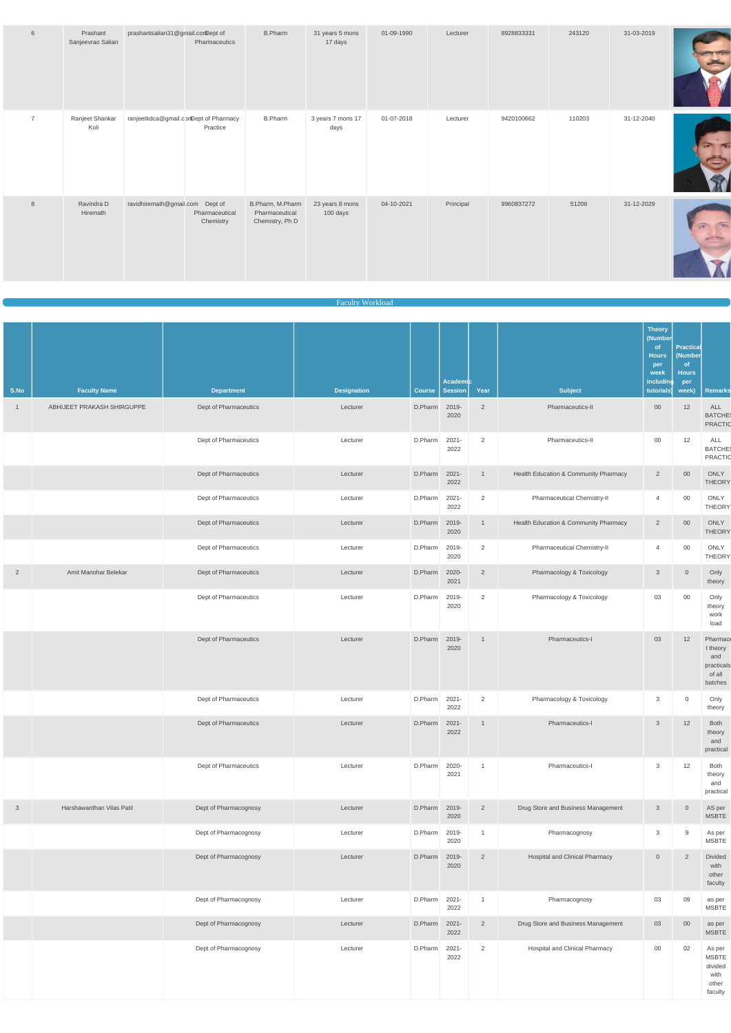| 6              | Prashant<br>Sanjeevrao Salian | prashantsalian31@gmail.comDept of     | Pharmaceutics               | <b>B.Pharm</b>                                        | 31 years 5 mons<br>17 days  | 01-09-1990 | Lecturer  | 8928833331 | 243120 | 31-03-2019 |  |
|----------------|-------------------------------|---------------------------------------|-----------------------------|-------------------------------------------------------|-----------------------------|------------|-----------|------------|--------|------------|--|
| $\overline{7}$ | Ranjeet Shankar<br>Koli       | ranjeetkdca@gmail.comDept of Pharmacy | Practice                    | <b>B.Pharm</b>                                        | 3 years 7 mons 17<br>days   | 01-07-2018 | Lecturer  | 9420100662 | 110203 | 31-12-2040 |  |
| 8              | Ravindra D<br>Hiremath        | ravidhiremath@gmail.com Dept of       | Pharmaceutical<br>Chemistry | B.Pharm, M.Pharm<br>Pharmaceutical<br>Chemistry, Ph D | 23 years 8 mons<br>100 days | 04-10-2021 | Principal | 9960837272 | 51206  | 31-12-2029 |  |

#### Faculty Workload

| S.No           | <b>Faculty Name</b>        | <b>Department</b>     | <b>Designation</b> | <b>Course</b> | Academic<br><b>Session</b> | Year           | <b>Subject</b>                        | <b>Theory</b><br>(Number<br><sub>of</sub><br><b>Hours</b><br>per<br>week<br>including<br>tutorials) | <b>Practical</b><br>(Number<br>of<br><b>Hours</b><br>per<br>week) | <b>Remarks</b>                                                 |
|----------------|----------------------------|-----------------------|--------------------|---------------|----------------------------|----------------|---------------------------------------|-----------------------------------------------------------------------------------------------------|-------------------------------------------------------------------|----------------------------------------------------------------|
| $\overline{1}$ | ABHIJEET PRAKASH SHIRGUPPE | Dept of Pharmaceutics | Lecturer           | D.Pharm 2019- | 2020                       | 2              | Pharmaceutics-II                      | $00\,$                                                                                              | 12                                                                | ALL<br><b>BATCHE</b><br>PRACTIC                                |
|                |                            | Dept of Pharmaceutics | Lecturer           | D.Pharm       | $2021 -$<br>2022           | 2              | Pharmaceutics-II                      | $00\,$                                                                                              | 12                                                                | ALL<br><b>BATCHE</b><br>PRACTIC                                |
|                |                            | Dept of Pharmaceutics | Lecturer           | D.Pharm       | $2021 -$<br>2022           | $\overline{1}$ | Health Education & Community Pharmacy | $\overline{2}$                                                                                      | $00\,$                                                            | ONLY<br><b>THEORY</b>                                          |
|                |                            | Dept of Pharmaceutics | Lecturer           | D.Pharm       | $2021 -$<br>2022           | $\overline{2}$ | Pharmaceutical Chemistry-II           | $\overline{4}$                                                                                      | $00\,$                                                            | ONLY<br><b>THEORY</b>                                          |
|                |                            | Dept of Pharmaceutics | Lecturer           | D.Pharm       | 2019-<br>2020              | $\mathbf{1}$   | Health Education & Community Pharmacy | $\overline{2}$                                                                                      | $00\,$                                                            | ONLY<br><b>THEORY</b>                                          |
|                |                            | Dept of Pharmaceutics | Lecturer           | D.Pharm       | 2019-<br>2020              | 2              | Pharmaceutical Chemistry-II           | $\overline{4}$                                                                                      | $00\,$                                                            | ONLY<br><b>THEORY</b>                                          |
| $\overline{2}$ | Amit Manohar Belekar       | Dept of Pharmaceutics | Lecturer           | D.Pharm       | 2020-<br>2021              | $\overline{2}$ | Pharmacology & Toxicology             | $\mathbf{3}$                                                                                        | $\overline{0}$                                                    | Only<br>theory                                                 |
|                |                            | Dept of Pharmaceutics | Lecturer           | D.Pharm       | 2019-<br>2020              | 2              | Pharmacology & Toxicology             | 03                                                                                                  | $00\,$                                                            | Only<br>theory<br>work<br>load                                 |
|                |                            | Dept of Pharmaceutics | Lecturer           | D.Pharm       | 2019-<br>2020              | $\mathbf{1}$   | Pharmaceutics-I                       | 03                                                                                                  | 12                                                                | Pharmace<br>I theory<br>and<br>practicals<br>of all<br>batches |
|                |                            | Dept of Pharmaceutics | Lecturer           | D.Pharm 2021- | 2022                       | 2              | Pharmacology & Toxicology             | 3                                                                                                   | $\overline{0}$                                                    | Only<br>theory                                                 |
|                |                            | Dept of Pharmaceutics | Lecturer           | D.Pharm       | $2021 -$<br>2022           | $\mathbf{1}$   | Pharmaceutics-I                       | $\mathbf{3}$                                                                                        | 12                                                                | Both<br>theory<br>and<br>practical                             |
|                |                            | Dept of Pharmaceutics | Lecturer           | D.Pharm       | 2020-<br>2021              | $\mathbf{1}$   | Pharmaceutics-I                       | $\mathbf{3}$                                                                                        | 12                                                                | Both<br>theory<br>and<br>practical                             |
| $\mathbf{3}$   | Harshawardhan Vilas Patil  | Dept of Pharmacognosy | Lecturer           | D.Pharm 2019- | 2020                       | $\overline{2}$ | Drug Store and Business Management    | $\mathbf{3}$                                                                                        | $\sqrt{0}$                                                        | AS per<br><b>MSBTE</b>                                         |
|                |                            | Dept of Pharmacognosy | Lecturer           | D.Pharm       | 2019-<br>2020              | $\mathbf{1}$   | Pharmacognosy                         | $\mathbf{3}$                                                                                        | 9                                                                 | As per<br><b>MSBTE</b>                                         |
|                |                            | Dept of Pharmacognosy | Lecturer           | D.Pharm       | 2019-<br>2020              | $\overline{2}$ | <b>Hospital and Clinical Pharmacy</b> | $\sqrt{0}$                                                                                          | $\overline{2}$                                                    | <b>Divided</b><br>with<br>other<br>faculty                     |
|                |                            | Dept of Pharmacognosy | Lecturer           | D.Pharm 2021- | 2022                       | $\overline{1}$ | Pharmacognosy                         | 03                                                                                                  | 09                                                                | as per<br><b>MSBTE</b>                                         |
|                |                            | Dept of Pharmacognosy | Lecturer           | D.Pharm       | $2021 -$<br>2022           | $\overline{2}$ | Drug Store and Business Management    | 03                                                                                                  | $00\,$                                                            | as per<br><b>MSBTE</b>                                         |
|                |                            | Dept of Pharmacognosy | Lecturer           | D.Pharm       | $2021 -$<br>2022           | 2              | <b>Hospital and Clinical Pharmacy</b> | $00\,$                                                                                              | 02                                                                | As per<br><b>MSBTE</b><br>divided<br>with<br>other<br>faculty  |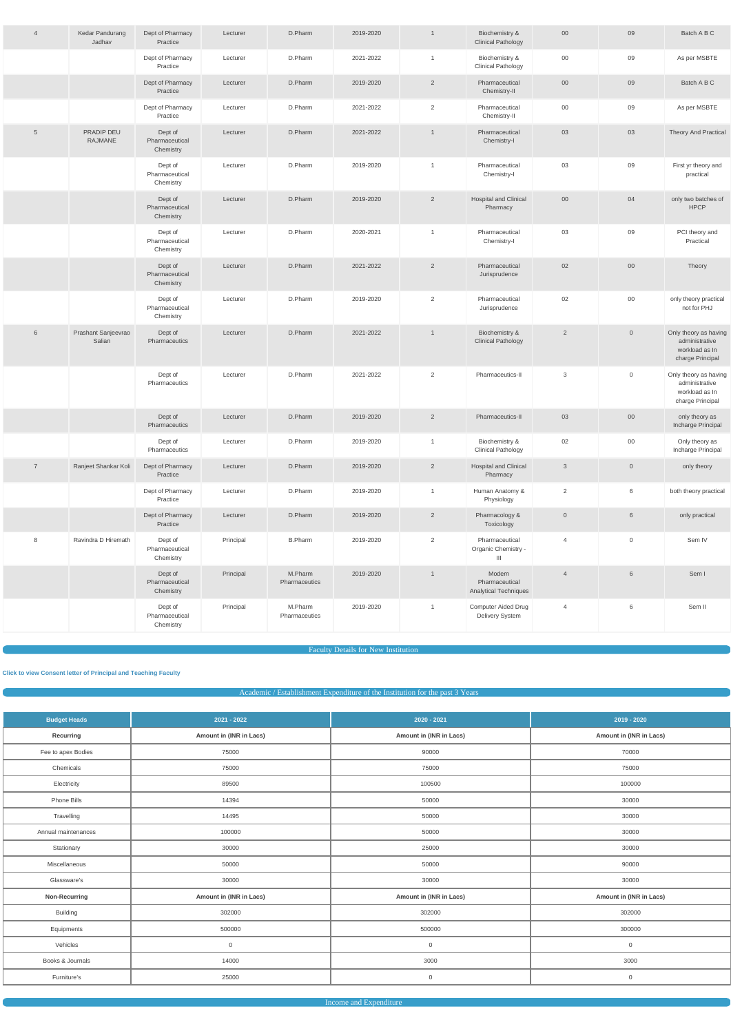| $\overline{4}$ | Kedar Pandurang<br>Jadhav     | Dept of Pharmacy<br>Practice           | Lecturer  | D.Pharm                  | 2019-2020 | $\overline{1}$ | Biochemistry &<br><b>Clinical Pathology</b>       | $00\,$              | 09                  | Batch A B C                                                                   |
|----------------|-------------------------------|----------------------------------------|-----------|--------------------------|-----------|----------------|---------------------------------------------------|---------------------|---------------------|-------------------------------------------------------------------------------|
|                |                               | Dept of Pharmacy<br>Practice           | Lecturer  | D.Pharm                  | 2021-2022 | $\mathbf{1}$   | Biochemistry &<br><b>Clinical Pathology</b>       | $00\,$              | 09                  | As per MSBTE                                                                  |
|                |                               | Dept of Pharmacy<br>Practice           | Lecturer  | D.Pharm                  | 2019-2020 | $\overline{2}$ | Pharmaceutical<br>Chemistry-II                    | $00\,$              | 09                  | Batch A B C                                                                   |
|                |                               | Dept of Pharmacy<br>Practice           | Lecturer  | D.Pharm                  | 2021-2022 | $\overline{2}$ | Pharmaceutical<br>Chemistry-II                    | $00\,$              | 09                  | As per MSBTE                                                                  |
| $\overline{5}$ | PRADIP DEU<br><b>RAJMANE</b>  | Dept of<br>Pharmaceutical<br>Chemistry | Lecturer  | D.Pharm                  | 2021-2022 | $\overline{1}$ | Pharmaceutical<br>Chemistry-I                     | 03                  | 03                  | <b>Theory And Practical</b>                                                   |
|                |                               | Dept of<br>Pharmaceutical<br>Chemistry | Lecturer  | D.Pharm                  | 2019-2020 | $\overline{1}$ | Pharmaceutical<br>Chemistry-I                     | 03                  | 09                  | First yr theory and<br>practical                                              |
|                |                               | Dept of<br>Pharmaceutical<br>Chemistry | Lecturer  | D.Pharm                  | 2019-2020 | $\overline{2}$ | Hospital and Clinical<br>Pharmacy                 | $00\,$              | 04                  | only two batches of<br><b>HPCP</b>                                            |
|                |                               | Dept of<br>Pharmaceutical<br>Chemistry | Lecturer  | D.Pharm                  | 2020-2021 | $\mathbf{1}$   | Pharmaceutical<br>Chemistry-I                     | 03                  | 09                  | PCI theory and<br>Practical                                                   |
|                |                               | Dept of<br>Pharmaceutical<br>Chemistry | Lecturer  | D.Pharm                  | 2021-2022 | $\overline{2}$ | Pharmaceutical<br>Jurisprudence                   | 02                  | $00\,$              | Theory                                                                        |
|                |                               | Dept of<br>Pharmaceutical<br>Chemistry | Lecturer  | D.Pharm                  | 2019-2020 | 2              | Pharmaceutical<br>Jurisprudence                   | 02                  | $00\,$              | only theory practical<br>not for PHJ                                          |
| 6              | Prashant Sanjeevrao<br>Salian | Dept of<br>Pharmaceutics               | Lecturer  | D.Pharm                  | 2021-2022 | $\overline{1}$ | Biochemistry &<br><b>Clinical Pathology</b>       | $\overline{2}$      | $\overline{0}$      | Only theory as having<br>administrative<br>workload as In<br>charge Principal |
|                |                               | Dept of<br>Pharmaceutics               | Lecturer  | D.Pharm                  | 2021-2022 | 2              | Pharmaceutics-II                                  | 3                   | $\overline{0}$      | Only theory as having<br>administrative<br>workload as In<br>charge Principal |
|                |                               | Dept of<br>Pharmaceutics               | Lecturer  | D.Pharm                  | 2019-2020 | $\overline{2}$ | Pharmaceutics-II                                  | 03                  | $00\,$              | only theory as<br>Incharge Principal                                          |
|                |                               | Dept of<br>Pharmaceutics               | Lecturer  | D.Pharm                  | 2019-2020 | $\overline{1}$ | Biochemistry &<br><b>Clinical Pathology</b>       | $02\,$              | $00\,$              | Only theory as<br>Incharge Principal                                          |
| $\overline{7}$ | Ranjeet Shankar Koli          | Dept of Pharmacy<br>Practice           | Lecturer  | D.Pharm                  | 2019-2020 | $\overline{2}$ | <b>Hospital and Clinical</b><br>Pharmacy          | $\mathbf{3}$        | $\mathsf{O}\xspace$ | only theory                                                                   |
|                |                               | Dept of Pharmacy<br>Practice           | Lecturer  | D.Pharm                  | 2019-2020 | $\mathbf{1}$   | Human Anatomy &<br>Physiology                     | $\overline{2}$      | $6\phantom{.}6$     | both theory practical                                                         |
|                |                               | Dept of Pharmacy<br>Practice           | Lecturer  | D.Pharm                  | 2019-2020 | $\overline{2}$ | Pharmacology &<br>Toxicology                      | $\mathsf{O}\xspace$ | $6\phantom{.}$      | only practical                                                                |
| 8              | Ravindra D Hiremath           | Dept of<br>Pharmaceutical<br>Chemistry | Principal | <b>B.Pharm</b>           | 2019-2020 | $\overline{2}$ | Pharmaceutical<br>Organic Chemistry -<br>Ш        | $\overline{4}$      | $\mathsf{O}$        | Sem IV                                                                        |
|                |                               | Dept of<br>Pharmaceutical<br>Chemistry | Principal | M.Pharm<br>Pharmaceutics | 2019-2020 | $\mathbf{1}$   | Modern<br>Pharmaceutical<br>Analytical Techniques | $\overline{4}$      | $6\phantom{.}6$     | Sem I                                                                         |
|                |                               | Dept of<br>Pharmaceutical<br>Chemistry | Principal | M.Pharm<br>Pharmaceutics | 2019-2020 | $\overline{1}$ | <b>Computer Aided Drug</b><br>Delivery System     | $\overline{4}$      | 6                   | Sem II                                                                        |

Faculty Details for New Institution

#### **[Click to view Consent letter of Principal and Teaching Faculty](https://dgpm.nic.in/institute/getmongoPdfFile.do?renreceiptid=&tablename=newinstfacultydoc)**

## Academic / Establishment Expenditure of the Institution for the past 3 Years

| 2021 - 2022<br><b>Budget Heads</b> |                         | $2020 - 2021$           | $2019 - 2020$           |
|------------------------------------|-------------------------|-------------------------|-------------------------|
| Recurring                          | Amount in (INR in Lacs) | Amount in (INR in Lacs) | Amount in (INR in Lacs) |
| Fee to apex Bodies                 | 75000                   | 90000                   | 70000                   |
| Chemicals                          | 75000                   | 75000                   | 75000                   |

| Electricity         | 89500                   | 100500                  | 100000                  |
|---------------------|-------------------------|-------------------------|-------------------------|
| Phone Bills         | 14394                   | 50000                   | 30000                   |
| Travelling          | 14495                   | 50000                   | 30000                   |
| Annual maintenances | 100000                  | 50000                   | 30000                   |
| Stationary          | 30000                   | 25000                   | 30000                   |
| Miscellaneous       | 50000                   | 50000                   | 90000                   |
| Glassware's         | 30000                   | 30000                   | 30000                   |
|                     |                         |                         |                         |
| Non-Recurring       | Amount in (INR in Lacs) | Amount in (INR in Lacs) | Amount in (INR in Lacs) |
| <b>Building</b>     | 302000                  | 302000                  | 302000                  |
| Equipments          | 500000                  | 500000                  | 300000                  |
| Vehicles            | $\mathbf 0$             | $\mathsf{O}\xspace$     | $\mathsf 0$             |
| Books & Journals    | 14000                   | 3000                    | 3000                    |
| Furniture's         | 25000                   | $\mathsf{O}\xspace$     | $\mathsf 0$             |

Income and Expenditure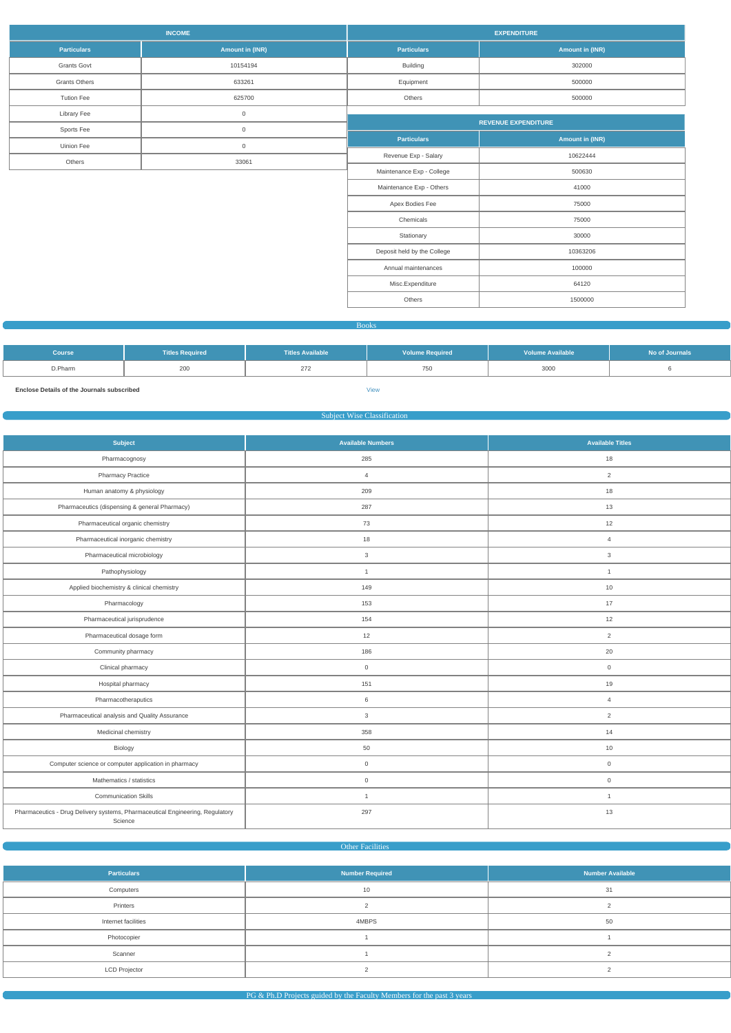|                      | <b>INCOME</b>   |                             | <b>EXPENDITURE</b>         |
|----------------------|-----------------|-----------------------------|----------------------------|
| <b>Particulars</b>   | Amount in (INR) | <b>Particulars</b>          | <b>Amount in (INR)</b>     |
| <b>Grants Govt</b>   | 10154194        | Building                    | 302000                     |
| <b>Grants Others</b> | 633261          | Equipment                   | 500000                     |
| <b>Tution Fee</b>    | 625700          | Others                      | 500000                     |
| <b>Library Fee</b>   | $\mathsf 0$     |                             |                            |
| Sports Fee           | $\mathsf{O}$    |                             | <b>REVENUE EXPENDITURE</b> |
| Uinion Fee           | $\mathsf 0$     | <b>Particulars</b>          | Amount in (INR)            |
| Others               | 33061           | Revenue Exp - Salary        | 10622444                   |
|                      |                 | Maintenance Exp - College   | 500630                     |
|                      |                 | Maintenance Exp - Others    | 41000                      |
|                      |                 | Apex Bodies Fee             | 75000                      |
|                      |                 | Chemicals                   | 75000                      |
|                      |                 | Stationary                  | 30000                      |
|                      |                 | Deposit held by the College | 10363206                   |
|                      |                 | Annual maintenances         | 100000                     |
|                      |                 | Misc.Expenditure            | 64120                      |
|                      |                 | Others                      | 1500000                    |
|                      |                 |                             |                            |

Books

| <b>Course</b> | <b>Titles Required</b> | <b>Titles Available</b> | <b>Volume Required</b> | <b>Volume Available</b> | No of Journals |
|---------------|------------------------|-------------------------|------------------------|-------------------------|----------------|
| D.Pharm       | 200                    | 272                     | 750                    | 3000                    |                |
|               |                        |                         |                        |                         |                |

**Enclose Details of the Journals subscribed** [View](https://dgpm.nic.in/institute/getmongoPdfFile.do?renreceiptid=79d8b3ae-ba6c-49a7-909e-d97d1c273ea7&tablename=bookjournal)

Subject Wise Classification

| Subject                                                                                  | <b>Available Numbers</b> | <b>Available Titles</b> |
|------------------------------------------------------------------------------------------|--------------------------|-------------------------|
| Pharmacognosy                                                                            | 285                      | 18                      |
| <b>Pharmacy Practice</b>                                                                 | $\overline{4}$           | $\overline{2}$          |
| Human anatomy & physiology                                                               | 209                      | 18                      |
| Pharmaceutics (dispensing & general Pharmacy)                                            | 287                      | 13                      |
| Pharmaceutical organic chemistry                                                         | 73                       | 12                      |
| Pharmaceutical inorganic chemistry                                                       | 18                       | $\overline{4}$          |
| Pharmaceutical microbiology                                                              | $\mathbf{3}$             | $\mathbf{3}$            |
| Pathophysiology                                                                          | $\overline{1}$           | $\overline{1}$          |
| Applied biochemistry & clinical chemistry                                                | 149                      | 10                      |
| Pharmacology                                                                             | 153                      | 17                      |
| Pharmaceutical jurisprudence                                                             | 154                      | 12                      |
| Pharmaceutical dosage form                                                               | 12                       | $\overline{2}$          |
| Community pharmacy                                                                       | 186                      | 20                      |
| Clinical pharmacy                                                                        | $\mathbf 0$              | $\mathbf 0$             |
| Hospital pharmacy                                                                        | 151                      | 19                      |
| Pharmacotheraputics                                                                      | 6                        | $\overline{4}$          |
| Pharmaceutical analysis and Quality Assurance                                            | 3                        | 2                       |
| Medicinal chemistry                                                                      | 358                      | 14                      |
| Biology                                                                                  | 50                       | 10                      |
| Computer science or computer application in pharmacy                                     | $\mathsf{O}\xspace$      | $\mathsf{O}\xspace$     |
| Mathematics / statistics                                                                 | $\mathbf 0$              | $\mathbf 0$             |
| <b>Communication Skills</b>                                                              | $\overline{1}$           | $\overline{1}$          |
| Pharmaceutics - Drug Delivery systems, Pharmaceutical Engineering, Regulatory<br>Science | 297                      | 13                      |

## Other Facilities

| <b>Particulars</b>   | <b>Number Required</b> | <b>Number Available</b> |
|----------------------|------------------------|-------------------------|
| Computers            | 10                     | 31                      |
| Printers             |                        |                         |
| Internet facilities  | 4MBPS                  | 50                      |
| Photocopier          |                        |                         |
| Scanner              |                        |                         |
| <b>LCD Projector</b> |                        |                         |

 $P$ G & Ph.D Projects guided by the Faculty Members for the past 3 years  $\sim$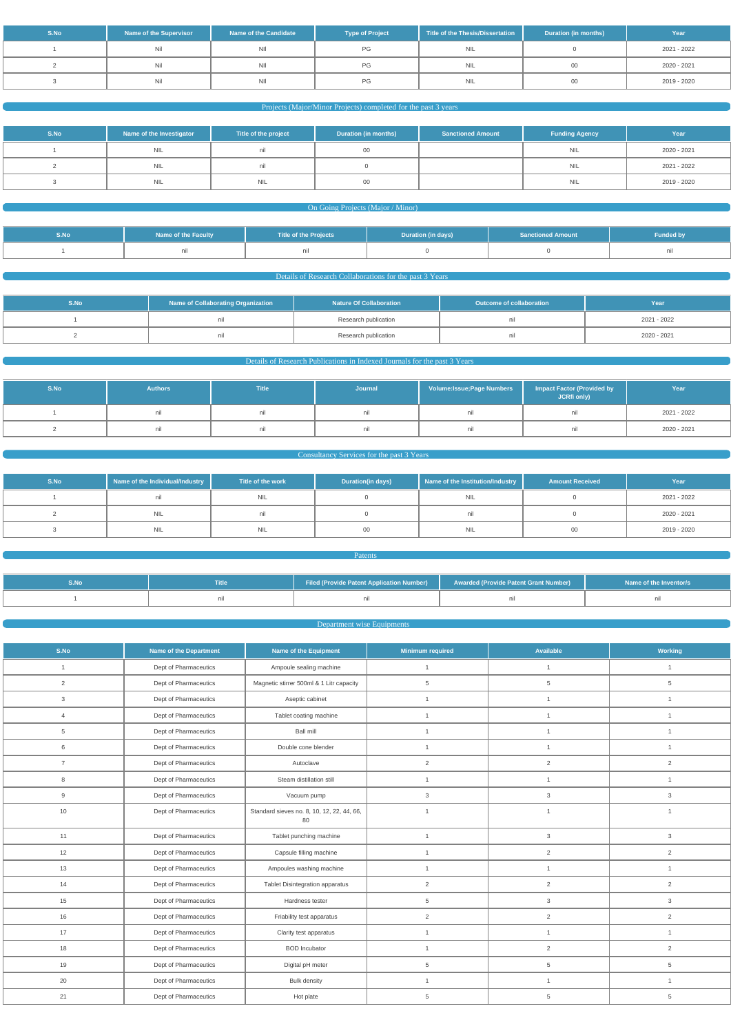| S.No | <b>Name of the Supervisor</b> | Name of the Candidate | <b>Type of Project</b> | Title of the Thesis/Dissertation | <b>Duration (in months)</b> | Year        |
|------|-------------------------------|-----------------------|------------------------|----------------------------------|-----------------------------|-------------|
|      | Nil                           | <b>NII</b>            | PG.                    | <b>NIL</b>                       |                             | 2021 - 2022 |
|      | Nil                           | <b>NII</b>            | PG.                    | <b>NIL</b>                       |                             | 2020 - 2021 |
|      | Nil                           | <b>NII</b>            | PG                     | <b>NIL</b>                       |                             | 2019 - 2020 |

## Projects (Major/Minor Projects) completed for the past 3 years

| S.No | Name of the Investigator | Title of the project | <b>Duration (in months)</b> | <b>Sanctioned Amount</b> | <b>Funding Agency</b> | Year        |
|------|--------------------------|----------------------|-----------------------------|--------------------------|-----------------------|-------------|
|      | <b>NIL</b>               | nil                  |                             |                          | <b>NIL</b>            | 2020 - 2021 |
|      | <b>NIL</b>               | nil                  |                             |                          | <b>NIL</b>            | 2021 - 2022 |
|      | <b>NIL</b>               | <b>NIL</b>           | υv                          |                          | <b>NIL</b>            | 2019 - 2020 |

#### **On Going Projects (Major / Minor)**

| S.No | <b>Name of the Faculty</b> | Title of the Projects | Duration (in days) | <b>Sanctioned Amount</b> | <b>Funded by</b> |
|------|----------------------------|-----------------------|--------------------|--------------------------|------------------|
|      |                            |                       |                    |                          |                  |

Details of Research Collaborations for the past 3 Years

| S.No | Name of Collaborating Organization | <b>Nature Of Collaboration</b> | <b>Outcome of collaboration</b> | Year        |  |
|------|------------------------------------|--------------------------------|---------------------------------|-------------|--|
|      |                                    | Research publication           |                                 | 2021 - 2022 |  |
|      |                                    | Research publication           |                                 | 2020 - 2021 |  |

## Details of Research Publications in Indexed Journals for the past 3 Years

| S.No | <b>Authors</b> | <b>Title</b> | Journal | Volume: Issue; Page Numbers | <b>Impact Factor (Provided by</b><br>JCRfi only) | Year        |
|------|----------------|--------------|---------|-----------------------------|--------------------------------------------------|-------------|
|      |                | nii          |         | - ETH                       | nıl                                              | 2021 - 2022 |
|      |                | nii          |         | nii                         | nil                                              | 2020 - 2021 |

## **Consultancy Services for the past 3 Years Consultancy Services for the past 3 Years**

| S.No | Name of the Individual/Industry | Title of the work | Duration(in days) | Name of the Institution/Industry | <b>Amount Received</b> | Year        |
|------|---------------------------------|-------------------|-------------------|----------------------------------|------------------------|-------------|
|      |                                 | <b>NIL</b>        |                   | NIL                              |                        | 2021 - 2022 |
|      | <b>NIL</b>                      | nıı               |                   |                                  |                        | 2020 - 2021 |
|      | NIL                             | NIL               | 00                | <b>NIL</b>                       | - 00                   | 2019 - 2020 |

| S.No | <b>Title</b> | Filed (Provide Patent Application Number)   \ | Awarded (Provide Patent Grant Number) | Name of the Inventor/s |
|------|--------------|-----------------------------------------------|---------------------------------------|------------------------|
|      |              |                                               |                                       |                        |

**Patents Patents** 

#### **Department wise Equipments**

| S.No           | Name of the Department<br><b>Name of the Equipment</b> |                                                  | <b>Minimum required</b> | Available      | Working        |
|----------------|--------------------------------------------------------|--------------------------------------------------|-------------------------|----------------|----------------|
| $\mathbf{1}$   | Dept of Pharmaceutics                                  | Ampoule sealing machine                          | $\mathbf{1}$            | $\mathbf{1}$   | $\mathbf{1}$   |
| $\overline{2}$ | Dept of Pharmaceutics                                  | Magnetic stirrer 500ml & 1 Litr capacity         | 5                       | 5              | $\,$ 5 $\,$    |
| $\mathbf{3}$   | Dept of Pharmaceutics                                  | Aseptic cabinet                                  | $\mathbf{1}$            | $\mathbf{1}$   | $\mathbf{1}$   |
| $\overline{4}$ | Dept of Pharmaceutics                                  | Tablet coating machine                           | $\mathbf{1}$            | $\mathbf{1}$   | $\overline{1}$ |
| 5              | Dept of Pharmaceutics                                  | Ball mill                                        | $\mathbf{1}$            | $\overline{1}$ | $\mathbf{1}$   |
| 6              | Dept of Pharmaceutics                                  | Double cone blender                              | $\mathbf{1}$            | $\mathbf{1}$   | $\mathbf{1}$   |
| $\overline{7}$ | Dept of Pharmaceutics                                  | Autoclave                                        | $\overline{2}$          | $\overline{2}$ | $\overline{2}$ |
| 8              | Dept of Pharmaceutics                                  | Steam distillation still                         | $\mathbf{1}$            | $\overline{1}$ | $\mathbf{1}$   |
| 9              | Dept of Pharmaceutics                                  | Vacuum pump                                      | 3                       | 3              | 3              |
| 10             | Dept of Pharmaceutics                                  | Standard sieves no. 8, 10, 12, 22, 44, 66,<br>80 | $\mathbf{1}$            | $\overline{1}$ | $\overline{1}$ |
| 11             | Dept of Pharmaceutics                                  | Tablet punching machine                          | $\mathbf{1}$            | $\mathbf{3}$   | $\mathbf{3}$   |
| 12             | Dept of Pharmaceutics                                  | Capsule filling machine                          | $\mathbf{1}$            | $\overline{2}$ | $\overline{2}$ |
| 13             | Dept of Pharmaceutics                                  | Ampoules washing machine                         | $\mathbf{1}$            | $\mathbf{1}$   | $\mathbf{1}$   |
| 14             | Dept of Pharmaceutics                                  | Tablet Disintegration apparatus                  | 2                       | $\overline{2}$ | $\overline{2}$ |
| 15             | Dept of Pharmaceutics                                  | Hardness tester                                  | 5                       | $\mathbf{3}$   | $\mathbf{3}$   |
| 16             | Dept of Pharmaceutics                                  | Friability test apparatus                        | 2                       | $\overline{2}$ | $\overline{2}$ |
| 17             | Dept of Pharmaceutics                                  | Clarity test apparatus                           | $\mathbf{1}$            | $\mathbf{1}$   | $\mathbf{1}$   |
| 18             | Dept of Pharmaceutics                                  | <b>BOD</b> Incubator                             | $\mathbf{1}$            | $\overline{2}$ | $\overline{2}$ |
| 19             | Dept of Pharmaceutics                                  | Digital pH meter                                 | 5                       | 5              | $\overline{5}$ |
| 20             | Dept of Pharmaceutics                                  | <b>Bulk density</b>                              | $\mathbf{1}$            | $\overline{1}$ | $\mathbf{1}$   |
| 21             | Dept of Pharmaceutics                                  | Hot plate                                        | 5                       | 5              | 5              |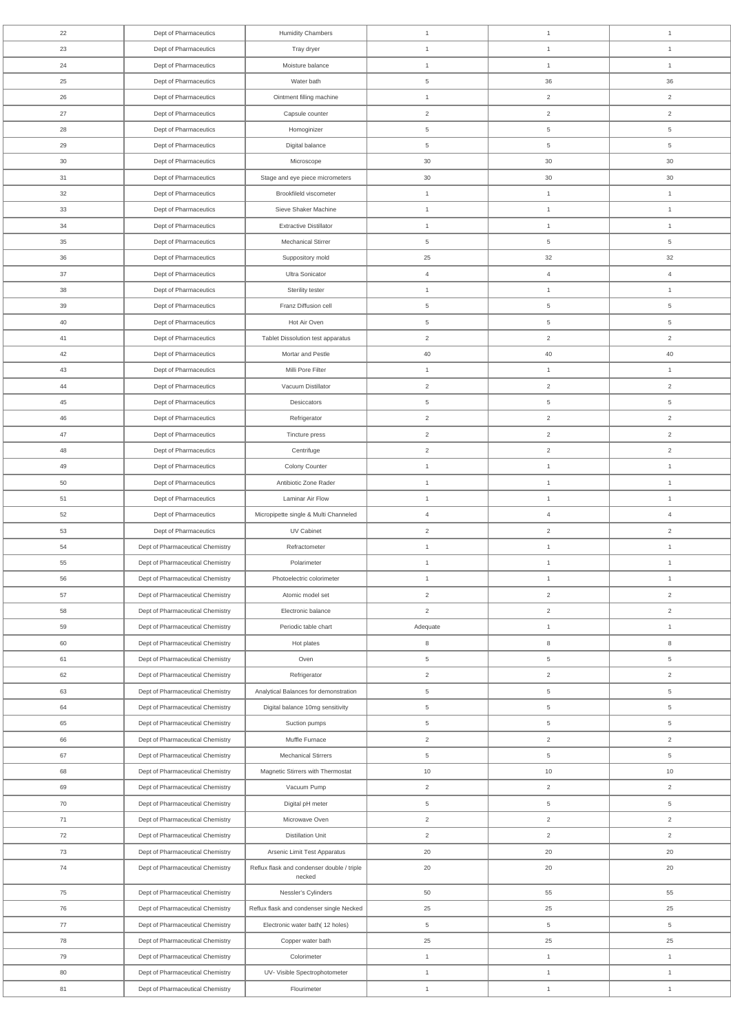| 22       | Dept of Pharmaceutics            | <b>Humidity Chambers</b>                             | $\mathbf{1}$        | $\mathbf{1}$                     | $\mathbf{1}$        |
|----------|----------------------------------|------------------------------------------------------|---------------------|----------------------------------|---------------------|
| 23       | Dept of Pharmaceutics            | Tray dryer                                           | $\mathbf{1}$        | $\mathbf{1}$                     | $\mathbf{1}$        |
| 24       | Dept of Pharmaceutics            | Moisture balance                                     | $\mathbf{1}$        | $\mathbf{1}$                     | $\mathbf{1}$        |
| 25       | Dept of Pharmaceutics            | Water bath                                           | 5                   | 36                               | 36                  |
| 26       | Dept of Pharmaceutics            | Ointment filling machine                             | $\mathbf{1}$        | $\overline{2}$                   | $\overline{c}$      |
| 27       | Dept of Pharmaceutics            | Capsule counter                                      | $\overline{2}$      | $\overline{2}$                   | $\overline{c}$      |
| 28       | Dept of Pharmaceutics            | Homoginizer                                          | 5                   | 5                                | 5                   |
| 29       | Dept of Pharmaceutics            | Digital balance                                      | 5                   | 5                                | 5                   |
| $30\,$   | Dept of Pharmaceutics            | Microscope                                           | 30                  | $30\,$                           | 30                  |
| 31       | Dept of Pharmaceutics            | Stage and eye piece micrometers                      | 30                  | $30\,$                           | 30                  |
| 32       | Dept of Pharmaceutics            | Brookfileld viscometer                               | $\overline{1}$      | $\mathbf{1}$                     | $\mathbf{1}$        |
| 33       | Dept of Pharmaceutics            | Sieve Shaker Machine                                 | $\mathbf{1}$        | $\mathbf{1}$                     | $\mathbf{1}$        |
| 34       | Dept of Pharmaceutics            | <b>Extractive Distillator</b>                        | $\mathbf{1}$        | $\mathbf{1}$                     | $\mathbf{1}$        |
| 35       | Dept of Pharmaceutics            | <b>Mechanical Stirrer</b>                            | 5                   | 5                                | 5                   |
| 36       | Dept of Pharmaceutics            | Suppository mold                                     | 25                  | 32                               | 32                  |
| 37       | Dept of Pharmaceutics            | Ultra Sonicator                                      | $\overline{4}$      | $\overline{4}$                   | $\overline{4}$      |
| 38       | Dept of Pharmaceutics            | Sterility tester                                     | $\mathbf{1}$        | $\mathbf{1}$                     | $\mathbf{1}$        |
| 39       | Dept of Pharmaceutics            | Franz Diffusion cell                                 | 5                   | $5\phantom{.0}$                  | $\overline{5}$      |
| 40       | Dept of Pharmaceutics            | Hot Air Oven                                         | 5                   | 5                                | 5                   |
| 41       | Dept of Pharmaceutics            | Tablet Dissolution test apparatus                    | $\overline{2}$      | $\overline{2}$                   | $\overline{2}$      |
| 42       | Dept of Pharmaceutics            | Mortar and Pestle                                    | 40                  | 40                               | 40                  |
| 43       | Dept of Pharmaceutics            | Milli Pore Filter                                    | $\mathbf{1}$        | 1                                | $\mathbf{1}$        |
| 44       | Dept of Pharmaceutics            | Vacuum Distillator                                   | $\overline{2}$      | $\overline{2}$                   | 2                   |
|          | Dept of Pharmaceutics            | Desiccators                                          |                     |                                  |                     |
| 45<br>46 | Dept of Pharmaceutics            | Refrigerator                                         | 5<br>$\overline{2}$ | 5                                | 5<br>$\overline{2}$ |
| 47       |                                  |                                                      | $\overline{2}$      | $\overline{c}$<br>$\overline{2}$ | $\overline{2}$      |
|          | Dept of Pharmaceutics            | Tincture press                                       |                     |                                  |                     |
| 48       | Dept of Pharmaceutics            | Centrifuge                                           | $\overline{2}$      | $\overline{2}$                   | $\overline{2}$      |
| 49       | Dept of Pharmaceutics            | Colony Counter                                       | $\mathbf{1}$        | $\mathbf{1}$                     | $\mathbf{1}$        |
| 50       | Dept of Pharmaceutics            | Antibiotic Zone Rader                                | $\mathbf{1}$        | $\mathbf{1}$                     | $\mathbf{1}$        |
| 51       | Dept of Pharmaceutics            | Laminar Air Flow                                     | $\mathbf{1}$        | $\mathbf{1}$                     | $\mathbf{1}$        |
| 52       | Dept of Pharmaceutics            | Micropipette single & Multi Channeled                | $\overline{4}$      | $\overline{4}$                   | $\overline{4}$      |
| 53       | Dept of Pharmaceutics            | UV Cabinet                                           | $\overline{2}$      | $\overline{2}$                   | $\overline{2}$      |
| 54       | Dept of Pharmaceutical Chemistry | Refractometer                                        | $\mathbf{1}$        | $\mathbf{1}$                     | $\mathbf{1}$        |
| 55       | Dept of Pharmaceutical Chemistry | Polarimeter                                          | $\mathbf{1}$        | $\mathbf{1}$                     | $\mathbf{1}$        |
| 56       | Dept of Pharmaceutical Chemistry | Photoelectric colorimeter                            | $\mathbf{1}$        | $\mathbf{1}$                     | $\mathbf{1}$        |
| 57       | Dept of Pharmaceutical Chemistry | Atomic model set                                     | $\overline{2}$      | $\overline{2}$                   | $\overline{2}$      |
| 58       | Dept of Pharmaceutical Chemistry | Electronic balance                                   | $\overline{2}$      | $\overline{2}$                   | 2                   |
| 59       | Dept of Pharmaceutical Chemistry | Periodic table chart                                 | Adequate            | $\mathbf{1}$                     | $\mathbf{1}$        |
| 60       | Dept of Pharmaceutical Chemistry | Hot plates                                           | 8                   | $\bf8$                           | 8                   |
| 61       | Dept of Pharmaceutical Chemistry | Oven                                                 | 5                   | $\,$ 5 $\,$                      | $\overline{5}$      |
| 62       | Dept of Pharmaceutical Chemistry | Refrigerator                                         | $\overline{2}$      | $\overline{2}$                   | 2                   |
| 63       | Dept of Pharmaceutical Chemistry | Analytical Balances for demonstration                | 5                   | $5\phantom{.0}$                  | $\,$ 5 $\,$         |
| 64       | Dept of Pharmaceutical Chemistry | Digital balance 10mg sensitivity                     | 5                   | 5                                | 5                   |
| 65       | Dept of Pharmaceutical Chemistry | Suction pumps                                        | 5                   | $5\phantom{.0}$                  | $\overline{5}$      |
| 66       | Dept of Pharmaceutical Chemistry | Muffle Furnace                                       | $\overline{2}$      | $\overline{2}$                   | $\overline{2}$      |
| 67       | Dept of Pharmaceutical Chemistry | <b>Mechanical Stirrers</b>                           | 5                   | $5\phantom{.0}$                  | $\overline{5}$      |
| 68       | Dept of Pharmaceutical Chemistry | Magnetic Stirrers with Thermostat                    | 10                  | $10$                             | 10                  |
| 69       | Dept of Pharmaceutical Chemistry | Vacuum Pump                                          | $\overline{2}$      | $\overline{2}$                   | $\overline{2}$      |
| 70       | Dept of Pharmaceutical Chemistry | Digital pH meter                                     | 5                   | $\,$ 5 $\,$                      | 5                   |
| 71       | Dept of Pharmaceutical Chemistry | Microwave Oven                                       | $\overline{2}$      | $\overline{2}$                   | $\overline{2}$      |
| 72       | Dept of Pharmaceutical Chemistry | <b>Distillation Unit</b>                             | $\overline{2}$      | $\overline{2}$                   | $\overline{2}$      |
| 73       | Dept of Pharmaceutical Chemistry | Arsenic Limit Test Apparatus                         | 20                  | 20                               | 20                  |
| 74       | Dept of Pharmaceutical Chemistry | Reflux flask and condenser double / triple<br>necked | 20                  | $20\,$                           | 20                  |
| 75       | Dept of Pharmaceutical Chemistry | Nessler's Cylinders                                  | 50                  | 55                               | 55                  |
| 76       | Dept of Pharmaceutical Chemistry | Reflux flask and condenser single Necked             | 25                  | 25                               | 25                  |
| 77       | Dept of Pharmaceutical Chemistry | Electronic water bath(12 holes)                      | $\,$ 5 $\,$         | $5\phantom{.0}$                  | $\,$ 5 $\,$         |
| 78       | Dept of Pharmaceutical Chemistry | Copper water bath                                    | 25                  | 25                               | 25                  |
| 79       | Dept of Pharmaceutical Chemistry | Colorimeter                                          | $\mathbf{1}$        | $\mathbf{1}$                     | $\mathbf{1}$        |
| 80       | Dept of Pharmaceutical Chemistry | UV- Visible Spectrophotometer                        | $\mathbf{1}$        | $\mathbf{1}$                     | $\mathbf{1}$        |
| 81       | Dept of Pharmaceutical Chemistry | Flourimeter                                          | $\mathbf{1}$        | $\mathbf{1}$                     | $\mathbf{1}$        |
|          |                                  |                                                      |                     |                                  |                     |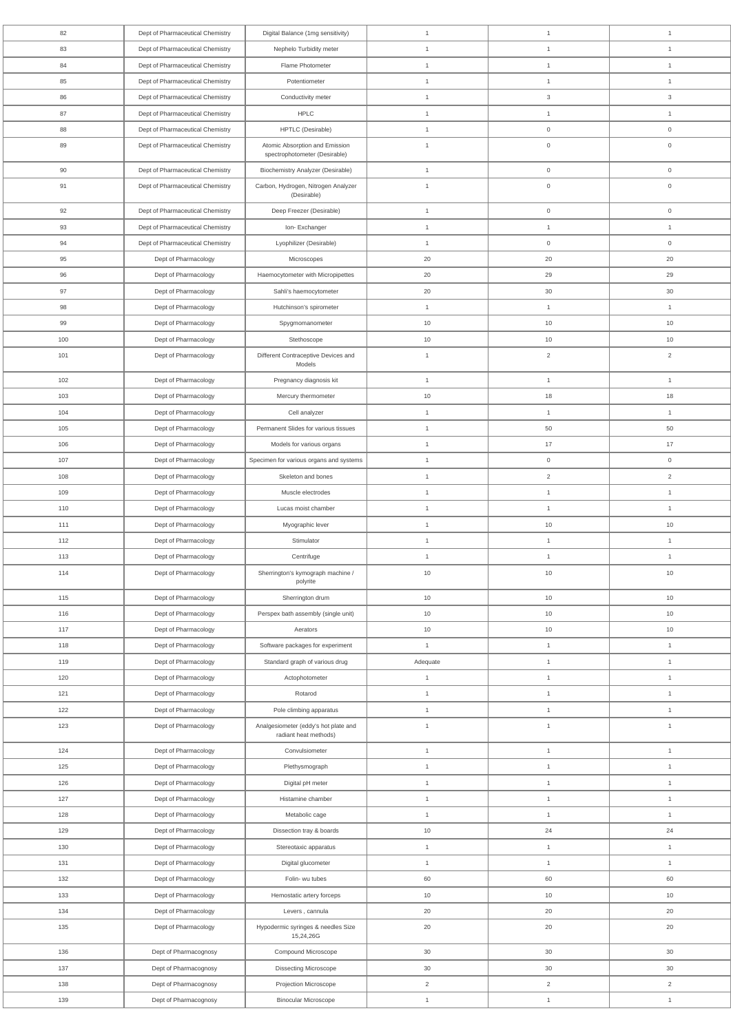| 82  | Dept of Pharmaceutical Chemistry | Digital Balance (1mg sensitivity)                  | $\overline{1}$ | $\mathbf{1}$        | $\mathbf{1}$        |
|-----|----------------------------------|----------------------------------------------------|----------------|---------------------|---------------------|
| 83  | Dept of Pharmaceutical Chemistry | Nephelo Turbidity meter                            | $\overline{1}$ | $\overline{1}$      | $\overline{1}$      |
| 84  | Dept of Pharmaceutical Chemistry | Flame Photometer                                   | $\overline{1}$ | $\overline{1}$      | $\overline{1}$      |
| 85  | Dept of Pharmaceutical Chemistry | Potentiometer                                      | $\overline{1}$ | $\overline{1}$      | $\overline{1}$      |
| 86  | Dept of Pharmaceutical Chemistry | Conductivity meter                                 | $\overline{1}$ | $\mathbf{3}$        | $\mathbf{3}$        |
| 87  | Dept of Pharmaceutical Chemistry | HPLC                                               | $\overline{1}$ | $\mathbf{1}$        | $\mathbf{1}$        |
| 88  | Dept of Pharmaceutical Chemistry | HPTLC (Desirable)                                  | $\mathbf{1}$   | $\overline{0}$      | $\overline{0}$      |
| 89  | Dept of Pharmaceutical Chemistry | Atomic Absorption and Emission                     | $\overline{1}$ | $\mathsf{O}\xspace$ | $\mathsf{O}\xspace$ |
|     |                                  | spectrophotometer (Desirable)                      |                |                     |                     |
| 90  | Dept of Pharmaceutical Chemistry | <b>Biochemistry Analyzer (Desirable)</b>           | $\overline{1}$ | $\mathbf 0$         | $\mathbf 0$         |
| 91  | Dept of Pharmaceutical Chemistry | Carbon, Hydrogen, Nitrogen Analyzer<br>(Desirable) | $\overline{1}$ | $\mathsf{O}\xspace$ | $\boldsymbol{0}$    |
| 92  | Dept of Pharmaceutical Chemistry | Deep Freezer (Desirable)                           | $\overline{1}$ | $\mathsf{O}\xspace$ | $\mathsf{O}\xspace$ |
| 93  | Dept of Pharmaceutical Chemistry | Ion-Exchanger                                      | $\overline{1}$ | $\mathbf{1}$        | $\overline{1}$      |
| 94  | Dept of Pharmaceutical Chemistry | Lyophilizer (Desirable)                            | $\overline{1}$ | $\mathbf 0$         | $\overline{0}$      |
| 95  | Dept of Pharmacology             | Microscopes                                        | 20             | 20                  | 20                  |
| 96  | Dept of Pharmacology             | Haemocytometer with Micropipettes                  | 20             | 29                  | 29                  |
| 97  | Dept of Pharmacology             | Sahli's haemocytometer                             | 20             | 30                  | $30\,$              |
| 98  | Dept of Pharmacology             | Hutchinson's spirometer                            | $\mathbf{1}$   | $\mathbf{1}$        | $\mathbf{1}$        |
| 99  | Dept of Pharmacology             | Spygmomanometer                                    | 10             | 10                  | 10                  |
| 100 | Dept of Pharmacology             | Stethoscope                                        | 10             | 10                  | 10                  |
| 101 | Dept of Pharmacology             | Different Contraceptive Devices and                | $\overline{1}$ | $\overline{2}$      | $\overline{2}$      |
|     |                                  | Models                                             |                |                     |                     |
| 102 | Dept of Pharmacology             | Pregnancy diagnosis kit                            | $\mathbf{1}$   | $\overline{1}$      | $\mathbf{1}$        |
| 103 | Dept of Pharmacology             | Mercury thermometer                                | 10             | 18                  | 18                  |
| 104 | Dept of Pharmacology             | Cell analyzer                                      | $\mathbf{1}$   | $\overline{1}$      | $\overline{1}$      |
| 105 | Dept of Pharmacology             | Permanent Slides for various tissues               | $\mathbf{1}$   | 50                  | 50                  |
| 106 | Dept of Pharmacology             | Models for various organs                          | $\mathbf{1}$   | 17                  | 17                  |
| 107 | Dept of Pharmacology             | Specimen for various organs and systems            | $\mathbf{1}$   | $\mathsf{O}\xspace$ | $\overline{0}$      |
| 108 | Dept of Pharmacology             | Skeleton and bones                                 | $\overline{1}$ | $\overline{2}$      | $\overline{2}$      |
| 109 | Dept of Pharmacology             | Muscle electrodes                                  | $\overline{1}$ | $\overline{1}$      | $\mathbf{1}$        |
| 110 | Dept of Pharmacology             | Lucas moist chamber                                | $\overline{1}$ | $\mathbf{1}$        | $\mathbf{1}$        |
| 111 | Dept of Pharmacology             | Myographic lever                                   | $\mathbf{1}$   | $10$                | $10$                |
| 112 | Dept of Pharmacology             | Stimulator                                         | $\mathbf{1}$   | $\mathbf{1}$        | $\overline{1}$      |
| 113 | Dept of Pharmacology             | Centrifuge                                         | $\mathbf{1}$   | $\mathbf{1}$        | $\overline{1}$      |
| 114 | Dept of Pharmacology             | Sherrington's kymograph machine /<br>polyrite      | 10             | $10\,$              | 10                  |
| 115 | Dept of Pharmacology             | Sherrington drum                                   | $10$           | $10$                | $10$                |
| 116 | Dept of Pharmacology             | Perspex bath assembly (single unit)                | 10             | 10                  | 10                  |
| 117 | Dept of Pharmacology             | Aerators                                           | 10             | $10$                | 10                  |
| 118 | Dept of Pharmacology             | Software packages for experiment                   | $\mathbf{1}$   | $\mathbf{1}$        | $\mathbf{1}$        |
| 119 | Dept of Pharmacology             | Standard graph of various drug                     | Adequate       | $\overline{1}$      | $\mathbf{1}$        |
| 120 | Dept of Pharmacology             | Actophotometer                                     | $\mathbf{1}$   | $\overline{1}$      | $\mathbf{1}$        |
| 121 | Dept of Pharmacology             | Rotarod                                            | $\mathbf{1}$   | $\mathbf{1}$        | $\mathbf{1}$        |
| 122 | Dept of Pharmacology             | Pole climbing apparatus                            | $\mathbf{1}$   | $\overline{1}$      | $\mathbf{1}$        |
| 123 | Dept of Pharmacology             | Analgesiometer (eddy's hot plate and               | $\overline{1}$ | $\overline{1}$      | $\overline{1}$      |
|     |                                  | radiant heat methods)                              |                |                     |                     |
| 124 | Dept of Pharmacology             | Convulsiometer                                     | $\mathbf{1}$   | $\mathbf{1}$        | $\mathbf{1}$        |
| 125 | Dept of Pharmacology             | Plethysmograph                                     | $\mathbf{1}$   | $\overline{1}$      | $\mathbf{1}$        |
| 126 | Dept of Pharmacology             | Digital pH meter                                   | $\mathbf{1}$   | $\mathbf{1}$        | $\overline{1}$      |
| 127 | Dept of Pharmacology             | Histamine chamber                                  | $\overline{1}$ | $\overline{1}$      | $\overline{1}$      |
| 128 | Dept of Pharmacology             | Metabolic cage                                     | $\mathbf{1}$   | $\mathbf{1}$        | $\mathbf{1}$        |
| 129 | Dept of Pharmacology             | Dissection tray & boards                           | $10\,$         | 24                  | 24                  |
| 130 | Dept of Pharmacology             | Stereotaxic apparatus                              | $\mathbf{1}$   | $\mathbf{1}$        | $\mathbf{1}$        |
| 131 | Dept of Pharmacology             | Digital glucometer                                 | $\mathbf{1}$   | $\mathbf{1}$        | $\overline{1}$      |
| 132 | Dept of Pharmacology             | Folin- wu tubes                                    | 60             | 60                  | 60                  |
| 133 | Dept of Pharmacology             | Hemostatic artery forceps                          | $10$           | 10                  | 10                  |
| 134 | Dept of Pharmacology             | Levers, cannula                                    | $20\,$         | $20\,$              | 20                  |
| 135 | Dept of Pharmacology             | Hypodermic syringes & needles Size<br>15,24,26G    | $20\,$         | 20                  | 20                  |
| 136 | Dept of Pharmacognosy            | Compound Microscope                                | $30\,$         | 30                  | $30\,$              |
| 137 | Dept of Pharmacognosy            | <b>Dissecting Microscope</b>                       | $30\,$         | 30                  | 30                  |
| 138 | Dept of Pharmacognosy            | Projection Microscope                              | $\overline{2}$ | $\overline{2}$      | $\overline{2}$      |
| 139 | Dept of Pharmacognosy            | <b>Binocular Microscope</b>                        | $\mathbf{1}$   | $\mathbf{1}$        | $\mathbf{1}$        |
|     |                                  |                                                    |                |                     |                     |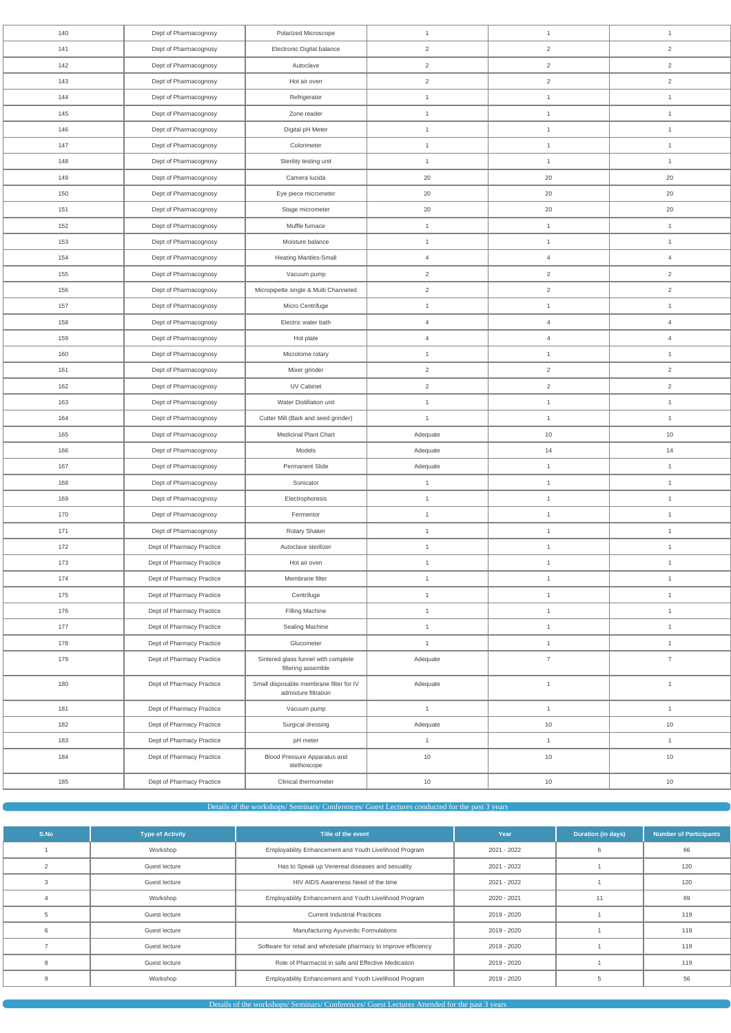| 140 | Dept of Pharmacognosy     | <b>Polarized Microscope</b>                                     | $\mathbf{1}$   | $\mathbf{1}$   | $\mathbf{1}$   |  |
|-----|---------------------------|-----------------------------------------------------------------|----------------|----------------|----------------|--|
| 141 | Dept of Pharmacognosy     | Electronic Digital balance                                      | $\overline{2}$ | $\overline{2}$ | $\overline{2}$ |  |
| 142 | Dept of Pharmacognosy     | Autoclave                                                       | $\overline{2}$ | $\overline{a}$ | $\overline{2}$ |  |
| 143 | Dept of Pharmacognosy     | Hot air oven                                                    | $\overline{2}$ | $\overline{2}$ | $\overline{2}$ |  |
| 144 | Dept of Pharmacognosy     | Refrigerator                                                    | $\mathbf{1}$   | $\mathbf{1}$   | $\mathbf{1}$   |  |
| 145 | Dept of Pharmacognosy     | Zone reader                                                     | $\mathbf{1}$   | $\mathbf{1}$   | $\mathbf{1}$   |  |
| 146 | Dept of Pharmacognosy     | Digital pH Meter                                                | $\mathbf{1}$   | $\mathbf{1}$   | $\mathbf{1}$   |  |
| 147 | Dept of Pharmacognosy     | Colorimeter                                                     | $\mathbf{1}$   | $\mathbf{1}$   | $\mathbf{1}$   |  |
| 148 | Dept of Pharmacognosy     | Sterility testing unit                                          | $\mathbf{1}$   | $\mathbf{1}$   | $\mathbf{1}$   |  |
| 149 | Dept of Pharmacognosy     | Camera lucida                                                   | 20             | 20             | 20             |  |
| 150 | Dept of Pharmacognosy     | Eye piece micrometer                                            | 20             | 20             | 20             |  |
| 151 | Dept of Pharmacognosy     | Stage micrometer                                                | 20             | 20             | 20             |  |
| 152 | Dept of Pharmacognosy     | Muffle furnace                                                  | $\mathbf{1}$   | $\mathbf{1}$   | $\mathbf{1}$   |  |
| 153 | Dept of Pharmacognosy     | Moisture balance                                                | $\mathbf{1}$   | $\mathbf{1}$   | $\mathbf{1}$   |  |
| 154 | Dept of Pharmacognosy     | Heating Mantles-Small                                           | $\overline{4}$ | $\overline{4}$ | $\overline{4}$ |  |
| 155 | Dept of Pharmacognosy     | Vacuum pump                                                     | $\overline{2}$ | $\overline{2}$ | $\overline{2}$ |  |
| 156 | Dept of Pharmacognosy     | Micropipette single & Multi Channeled                           | $\overline{2}$ | $\overline{c}$ | $\overline{2}$ |  |
| 157 | Dept of Pharmacognosy     | Micro Centrifuge                                                | $\mathbf{1}$   | $\mathbf{1}$   | $\mathbf{1}$   |  |
| 158 | Dept of Pharmacognosy     | Electric water bath                                             | $\overline{4}$ | $\overline{4}$ | $\overline{4}$ |  |
| 159 | Dept of Pharmacognosy     | Hot plate                                                       | $\overline{4}$ | $\overline{4}$ | $\overline{4}$ |  |
| 160 | Dept of Pharmacognosy     | Microtome rotary                                                | $\mathbf{1}$   | $\mathbf{1}$   | $\mathbf{1}$   |  |
| 161 | Dept of Pharmacognosy     | Mixer grinder                                                   | $\overline{2}$ | $\overline{2}$ | $\overline{2}$ |  |
| 162 | Dept of Pharmacognosy     | UV Cabinet                                                      | $\overline{2}$ | $\overline{a}$ | $\overline{2}$ |  |
| 163 | Dept of Pharmacognosy     | Water Distillation unit                                         | $\mathbf{1}$   | $\mathbf{1}$   | $\mathbf{1}$   |  |
| 164 | Dept of Pharmacognosy     | Cutter Mill (Bark and seed grinder)                             | $\mathbf{1}$   | $\mathbf{1}$   | $\mathbf{1}$   |  |
| 165 | Dept of Pharmacognosy     | Medicinal Plant Chart                                           | Adequate       | 10             | 10             |  |
| 166 | Dept of Pharmacognosy     | Models                                                          | Adequate       | 14             | 14             |  |
| 167 | Dept of Pharmacognosy     | Permanent Slide                                                 | Adequate       | $\mathbf{1}$   | $\mathbf{1}$   |  |
| 168 | Dept of Pharmacognosy     | Sonicator                                                       | $\mathbf{1}$   | $\mathbf{1}$   | $\mathbf{1}$   |  |
| 169 | Dept of Pharmacognosy     | Electrophoresis                                                 | $\mathbf{1}$   | $\mathbf{1}$   | $\mathbf{1}$   |  |
| 170 | Dept of Pharmacognosy     | Fermentor                                                       | $\mathbf{1}$   | $\mathbf{1}$   | $\mathbf{1}$   |  |
| 171 | Dept of Pharmacognosy     | Rotary Shaker                                                   | $\mathbf{1}$   | $\mathbf{1}$   | $\mathbf{1}$   |  |
| 172 | Dept of Pharmacy Practice | Autoclave sterilizer                                            | $\mathbf{1}$   | $\mathbf{1}$   | $\mathbf{1}$   |  |
| 173 | Dept of Pharmacy Practice | Hot air oven                                                    | $\mathbf{1}$   | $\mathbf{1}$   | $\mathbf{1}$   |  |
| 174 | Dept of Pharmacy Practice | Membrane filter                                                 | $\mathbf{1}$   | $\mathbf{1}$   | $\mathbf{1}$   |  |
| 175 | Dept of Pharmacy Practice | Centrifuge                                                      | $\mathbf{1}$   | $\mathbf{1}$   | $\mathbf{1}$   |  |
| 176 | Dept of Pharmacy Practice | Filling Machine                                                 | $\mathbf{1}$   | $\mathbf{1}$   | $\mathbf{1}$   |  |
| 177 | Dept of Pharmacy Practice | Sealing Machine                                                 | $\mathbf{1}$   | $\mathbf{1}$   | $\mathbf{1}$   |  |
| 178 | Dept of Pharmacy Practice | Glucometer                                                      | $\mathbf{1}$   | $\mathbf{1}$   | $\mathbf{1}$   |  |
| 179 | Dept of Pharmacy Practice | Sintered glass funnel with complete<br>filtering assemble       | Adequate       | $\overline{7}$ | $\overline{7}$ |  |
| 180 | Dept of Pharmacy Practice | Small disposable membrane filter for IV<br>admixture filtration | Adequate       | $\mathbf{1}$   | $\mathbf{1}$   |  |
| 181 | Dept of Pharmacy Practice | Vacuum pump                                                     | $\mathbf{1}$   | $\mathbf{1}$   | $\mathbf{1}$   |  |
| 182 | Dept of Pharmacy Practice | Surgical dressing                                               | Adequate       | 10             | 10             |  |
| 183 | Dept of Pharmacy Practice | pH meter                                                        | $\mathbf{1}$   | $\mathbf{1}$   | $\mathbf{1}$   |  |
| 184 | Dept of Pharmacy Practice | Blood Pressure Apparatus and<br>stethoscope                     | 10             | $10$           | 10             |  |
| 185 | Dept of Pharmacy Practice | Clinical thermometer                                            | $10$           | 10             | $10$           |  |

# Details of the workshops/ Seminars/ Conferences/ Guest Lectures conducted for the past 3 years

| S.No | <b>Type of Activity</b> | Title of the event                                               | Year        | <b>Duration (in days)</b> | <b>Number of Participants</b> |
|------|-------------------------|------------------------------------------------------------------|-------------|---------------------------|-------------------------------|
|      | Workshop                | Employability Enhancement and Youth Livelihood Program           | 2021 - 2022 |                           | 66                            |
|      | Guest lecture           | Has to Speak up Venereal diseases and sexuality                  | 2021 - 2022 |                           | 120                           |
|      | Guest lecture           | HIV AIDS Awareness Need of the time                              | 2021 - 2022 |                           | 120                           |
|      | Workshop                | Employability Enhancement and Youth Livelihood Program           | 2020 - 2021 | 11                        | 69                            |
|      | Guest lecture           | <b>Current Industrial Practices</b>                              | 2019 - 2020 |                           | 119                           |
| 6    | Guest lecture           | Manufacturing Ayurvedic Formulations                             | 2019 - 2020 |                           | 119                           |
|      | Guest lecture           | Software for retail and wholesale pharmacy to improve efficiency | 2019 - 2020 |                           | 119                           |
| 8    | Guest lecture           | Role of Pharmacist in safe and Effective Medication              | 2019 - 2020 |                           | 119                           |
| 9    | Workshop                | Employability Enhancement and Youth Livelihood Program           | 2019 - 2020 |                           | 56                            |

Details of the workshops/ Seminars/ Conferences/ Guest Lectures Attended for the past 3 years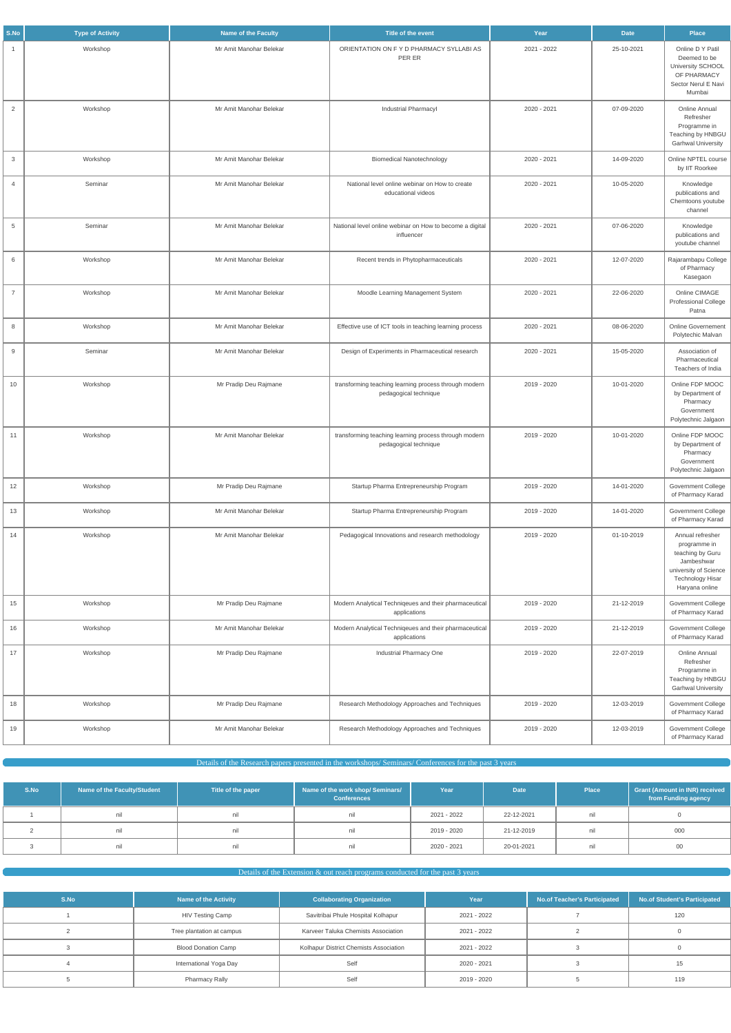| S.No           | <b>Type of Activity</b> | <b>Name of the Faculty</b> | Title of the event                                                             | Year        | <b>Date</b> | <b>Place</b>                                                                                                                             |
|----------------|-------------------------|----------------------------|--------------------------------------------------------------------------------|-------------|-------------|------------------------------------------------------------------------------------------------------------------------------------------|
| -1             | Workshop                | Mr Amit Manohar Belekar    | ORIENTATION ON FY D PHARMACY SYLLABI AS<br>PER ER                              | 2021 - 2022 | 25-10-2021  | Online D Y Patil<br>Deemed to be<br>University SCHOOL<br>OF PHARMACY<br>Sector Nerul E Navi<br>Mumbai                                    |
| $\overline{2}$ | Workshop                | Mr Amit Manohar Belekar    | Industrial Pharmacyl                                                           | 2020 - 2021 | 07-09-2020  | Online Annual<br>Refresher<br>Programme in<br>Teaching by HNBGU<br><b>Garhwal University</b>                                             |
| 3              | Workshop                | Mr Amit Manohar Belekar    | <b>Biomedical Nanotechnology</b>                                               | 2020 - 2021 | 14-09-2020  | Online NPTEL course<br>by IIT Roorkee                                                                                                    |
| $\overline{4}$ | Seminar                 | Mr Amit Manohar Belekar    | National level online webinar on How to create<br>educational videos           | 2020 - 2021 | 10-05-2020  | Knowledge<br>publications and<br>Chemtoons youtube<br>channel                                                                            |
| 5              | Seminar                 | Mr Amit Manohar Belekar    | National level online webinar on How to become a digital<br>influencer         | 2020 - 2021 | 07-06-2020  | Knowledge<br>publications and<br>youtube channel                                                                                         |
| 6              | Workshop                | Mr Amit Manohar Belekar    | Recent trends in Phytopharmaceuticals                                          | 2020 - 2021 | 12-07-2020  | Rajarambapu College<br>of Pharmacy<br>Kasegaon                                                                                           |
| $\overline{7}$ | Workshop                | Mr Amit Manohar Belekar    | Moodle Learning Management System                                              | 2020 - 2021 | 22-06-2020  | Online CIMAGE<br>Professional College<br>Patna                                                                                           |
| 8              | Workshop                | Mr Amit Manohar Belekar    | Effective use of ICT tools in teaching learning process                        | 2020 - 2021 | 08-06-2020  | <b>Online Governement</b><br>Polytechic Malvan                                                                                           |
| 9              | Seminar                 | Mr Amit Manohar Belekar    | Design of Experiments in Pharmaceutical research                               | 2020 - 2021 | 15-05-2020  | Association of<br>Pharmaceutical<br>Teachers of India                                                                                    |
| 10             | Workshop                | Mr Pradip Deu Rajmane      | transforming teaching learning process through modern<br>pedagogical technique | 2019 - 2020 | 10-01-2020  | Online FDP MOOC<br>by Department of<br>Pharmacy<br>Government<br>Polytechnic Jalgaon                                                     |
| 11             | Workshop                | Mr Amit Manohar Belekar    | transforming teaching learning process through modern<br>pedagogical technique | 2019 - 2020 | 10-01-2020  | Online FDP MOOC<br>by Department of<br>Pharmacy<br>Government<br>Polytechnic Jalgaon                                                     |
| 12             | Workshop                | Mr Pradip Deu Rajmane      | Startup Pharma Entrepreneurship Program                                        | 2019 - 2020 | 14-01-2020  | Government College<br>of Pharmacy Karad                                                                                                  |
| 13             | Workshop                | Mr Amit Manohar Belekar    | Startup Pharma Entrepreneurship Program                                        | 2019 - 2020 | 14-01-2020  | Government College<br>of Pharmacy Karad                                                                                                  |
| 14             | Workshop                | Mr Amit Manohar Belekar    | Pedagogical Innovations and research methodology                               | 2019 - 2020 | 01-10-2019  | Annual refresher<br>programme in<br>teaching by Guru<br>Jambeshwar<br>university of Science<br><b>Technology Hisar</b><br>Haryana online |
| 15             | Workshop                | Mr Pradip Deu Rajmane      | Modern Analytical Techniqeues and their pharmaceutical<br>applications         | 2019 - 2020 | 21-12-2019  | Government College<br>of Pharmacy Karad                                                                                                  |
| 16             | Workshop                | Mr Amit Manohar Belekar    | Modern Analytical Techniqeues and their pharmaceutical<br>applications         | 2019 - 2020 | 21-12-2019  | Government College<br>of Pharmacy Karad                                                                                                  |
| 17             | Workshop                | Mr Pradip Deu Rajmane      | Industrial Pharmacy One                                                        | 2019 - 2020 | 22-07-2019  | Online Annual<br>Refresher<br>Programme in<br>Teaching by HNBGU<br><b>Garhwal University</b>                                             |
| 18             | Workshop                | Mr Pradip Deu Rajmane      | Research Methodology Approaches and Techniques                                 | 2019 - 2020 | 12-03-2019  | Government College<br>of Pharmacy Karad                                                                                                  |
| 19             | Workshop                | Mr Amit Manohar Belekar    | Research Methodology Approaches and Techniques                                 | 2019 - 2020 | 12-03-2019  | Government College<br>of Pharmacy Karad                                                                                                  |

| S.No | Name of the Faculty/Student | Title of the paper | Name of the work shop/ Seminars/<br><b>Conferences</b> | Year <b>\</b> | Date <sup>1</sup> | Place | <b>Grant (Amount in INR) received</b><br>from Funding agency |
|------|-----------------------------|--------------------|--------------------------------------------------------|---------------|-------------------|-------|--------------------------------------------------------------|
|      |                             |                    |                                                        | 2021 - 2022   | 22-12-2021        | nil   |                                                              |
|      |                             |                    |                                                        | 2019 - 2020   | 21-12-2019        | nil   | 000                                                          |
|      |                             |                    |                                                        | 2020 - 2021   | 20-01-2021        | nil   | 00                                                           |

## $\blacksquare$  Details of the Extension  $\&$  out reach programs conducted for the past 3 years

| S.No | <b>Name of the Activity</b> | <b>Collaborating Organization</b>      | Year        | No.of Teacher's Participated | No.of Student's Participated |
|------|-----------------------------|----------------------------------------|-------------|------------------------------|------------------------------|
|      | HIV Testing Camp            | Savitribai Phule Hospital Kolhapur     | 2021 - 2022 |                              | 120                          |
|      | Tree plantation at campus   | Karveer Taluka Chemists Association    | 2021 - 2022 |                              |                              |
|      | <b>Blood Donation Camp</b>  | Kolhapur District Chemists Association | 2021 - 2022 |                              |                              |
|      | International Yoga Day      | Self                                   | 2020 - 2021 |                              |                              |
|      | <b>Pharmacy Rally</b>       | Self                                   | 2019 - 2020 |                              | 119                          |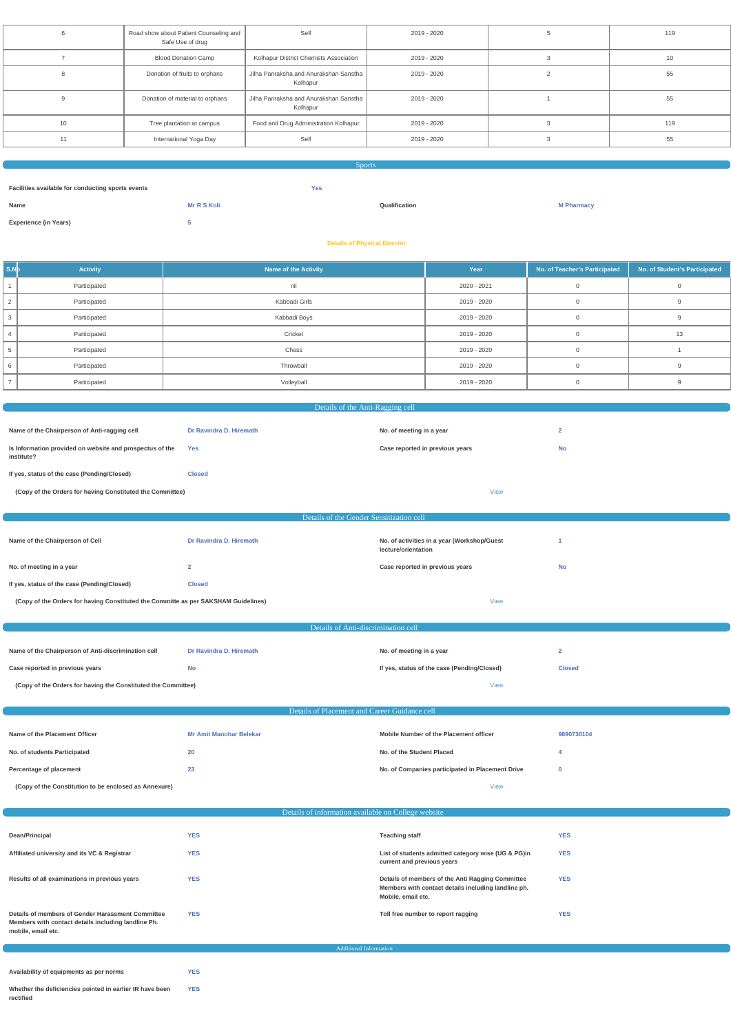|    | Road show about Patient Counseling and<br>Safe Use of drug | Self                                                | 2019 - 2020 | 119 |
|----|------------------------------------------------------------|-----------------------------------------------------|-------------|-----|
|    | <b>Blood Donation Camp</b>                                 | Kolhapur District Chemists Association              | 2019 - 2020 | 10  |
|    | Donation of fruits to orphans                              | Jilha Pariraksha and Anurakshan Sanstha<br>Kolhapur | 2019 - 2020 | 55  |
|    | Donation of material to orphans                            | Jilha Pariraksha and Anurakshan Sanstha<br>Kolhapur | 2019 - 2020 | 55  |
| 10 | Tree plantation at campus                                  | Food and Drug Administration Kolhapur               | 2019 - 2020 | 119 |
| 11 | International Yoga Day                                     | Self                                                | 2019 - 2020 | 55  |
|    |                                                            |                                                     |             |     |

Sports

**Facilities available for conducting sports events Yes Name Mr R S Koli Qualification M Pharmacy Experience (in Years) 5 Details of Physical Director**

| $\mathsf{I}$ s.N $\mathsf{b}$ | <b>Activity</b> | <b>Name of the Activity</b> | Year        | No. of Teacher's Participated | No. of Student's Participated |
|-------------------------------|-----------------|-----------------------------|-------------|-------------------------------|-------------------------------|
|                               | Participated    | nil                         | 2020 - 2021 |                               |                               |
|                               | Participated    | Kabbadi Girls               | 2019 - 2020 |                               |                               |
|                               | Participated    | Kabbadi Boys                | 2019 - 2020 |                               |                               |
|                               | Participated    | Cricket                     | 2019 - 2020 |                               |                               |
|                               | Participated    | Chess                       | 2019 - 2020 |                               |                               |
|                               | Participated    | Throwball                   | 2019 - 2020 |                               |                               |
|                               | Participated    | Volleyball                  | 2019 - 2020 |                               |                               |

| Details of the Anti-Ragging cell                                                   |                                               |                                                                    |                |  |
|------------------------------------------------------------------------------------|-----------------------------------------------|--------------------------------------------------------------------|----------------|--|
|                                                                                    |                                               |                                                                    |                |  |
| Name of the Chairperson of Anti-ragging cell                                       | Dr Ravindra D. Hiremath                       | No. of meeting in a year                                           | $\overline{2}$ |  |
| Is Information provided on website and prospectus of the<br>institute?             | Yes                                           | Case reported in previous years                                    | <b>No</b>      |  |
| If yes, status of the case (Pending/Closed)                                        | <b>Closed</b>                                 |                                                                    |                |  |
| (Copy of the Orders for having Constituted the Committee)                          |                                               | <b>View</b>                                                        |                |  |
|                                                                                    |                                               |                                                                    |                |  |
|                                                                                    | Details of the Gender Sensitization cell      |                                                                    |                |  |
| Name of the Chairperson of Cell                                                    | Dr Ravindra D. Hiremath                       | No. of activities in a year (Workshop/Guest<br>lecture/orientation | -1             |  |
| No. of meeting in a year                                                           | $\overline{2}$                                | Case reported in previous years                                    | <b>No</b>      |  |
| If yes, status of the case (Pending/Closed)                                        | <b>Closed</b>                                 |                                                                    |                |  |
| (Copy of the Orders for having Constituted the Committe as per SAKSHAM Guidelines) |                                               | <b>View</b>                                                        |                |  |
|                                                                                    |                                               |                                                                    |                |  |
|                                                                                    | Details of Anti-discrimination cell           |                                                                    |                |  |
| Name of the Chairperson of Anti-discrimination cell                                | Dr Ravindra D. Hiremath                       | No. of meeting in a year                                           | $\mathbf{2}$   |  |
| Case reported in previous years                                                    | <b>No</b>                                     | If yes, status of the case (Pending/Closed)                        | <b>Closed</b>  |  |
| (Copy of the Orders for having the Constituted the Committee)                      |                                               | <b>View</b>                                                        |                |  |
|                                                                                    |                                               |                                                                    |                |  |
|                                                                                    | Details of Placement and Career Guidance cell |                                                                    |                |  |
| Name of the Placement Officer                                                      | <b>Mr Amit Manohar Belekar</b>                | Mobile Number of the Placement officer                             | 9890730104     |  |
| No. of students Participated                                                       | 20                                            | No. of the Student Placed                                          | $\overline{4}$ |  |

## Details of information available on College website

| Dean/Principal                                                                                                                 | <b>YES</b> | <b>Teaching staff</b>                                                                                                         | <b>YES</b> |
|--------------------------------------------------------------------------------------------------------------------------------|------------|-------------------------------------------------------------------------------------------------------------------------------|------------|
| Affiliated university and its VC & Registrar                                                                                   | <b>YES</b> | List of students admitted category wise (UG & PG) in<br>current and previous years                                            | <b>YES</b> |
| Results of all examinations in previous years                                                                                  | <b>YES</b> | Details of members of the Anti Ragging Committee<br>Members with contact details including landline ph.<br>Mobile, email etc. | <b>YES</b> |
| Details of members of Gender Harassment Committee<br>Members with contact details including landline Ph.<br>mobile, email etc. | <b>YES</b> | Toll free number to report ragging                                                                                            | <b>YES</b> |

**Percentage of placement 1988 1999 <b>1999 1999 1999 1999 1999 1999 1999 1999 1999 1999 1999 1999 1999 1999 1999 1999 1999 1999 1999 1999 1999 1999 1999 1999 1999 1999**

Additional Information

**Availability of equipments as per norms YES Whether the deficiencies pointed in earlier IR have been rectified YES**